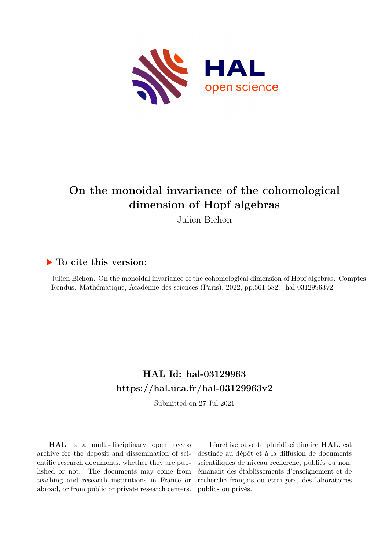

# **On the monoidal invariance of the cohomological dimension of Hopf algebras**

Julien Bichon

# **To cite this version:**

Julien Bichon. On the monoidal invariance of the cohomological dimension of Hopf algebras. Comptes Rendus. Mathématique, Académie des sciences (Paris), 2022, pp.561-582. hal-03129963v2

# **HAL Id: hal-03129963 <https://hal.uca.fr/hal-03129963v2>**

Submitted on 27 Jul 2021

**HAL** is a multi-disciplinary open access archive for the deposit and dissemination of scientific research documents, whether they are published or not. The documents may come from teaching and research institutions in France or abroad, or from public or private research centers.

L'archive ouverte pluridisciplinaire **HAL**, est destinée au dépôt et à la diffusion de documents scientifiques de niveau recherche, publiés ou non, émanant des établissements d'enseignement et de recherche français ou étrangers, des laboratoires publics ou privés.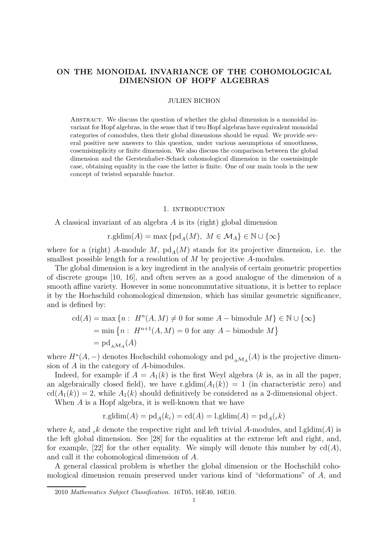# ON THE MONOIDAL INVARIANCE OF THE COHOMOLOGICAL DIMENSION OF HOPF ALGEBRAS

#### JULIEN BICHON

Abstract. We discuss the question of whether the global dimension is a monoidal invariant for Hopf algebras, in the sense that if two Hopf algebras have equivalent monoidal categories of comodules, then their global dimensions should be equal. We provide several positive new answers to this question, under various assumptions of smoothness, cosemisimplicity or finite dimension. We also discuss the comparison between the global dimension and the Gerstenhaber-Schack cohomological dimension in the cosemisimple case, obtaining equality in the case the latter is finite. One of our main tools is the new concept of twisted separable functor.

#### 1. INTRODUCTION

A classical invariant of an algebra A is its (right) global dimension

$$
\operatorname{r.gldim}(A)=\max\big\{\operatorname{pd}_A(M),\ M\in\mathcal{M}_A\big\}\in\mathbb{N}\cup\{\infty\}
$$

where for a (right) A-module M,  $\text{pd}_A(M)$  stands for its projective dimension, i.e. the smallest possible length for a resolution of M by projective A-modules.

The global dimension is a key ingredient in the analysis of certain geometric properties of discrete groups [10, 16], and often serves as a good analogue of the dimension of a smooth affine variety. However in some noncommutative situations, it is better to replace it by the Hochschild cohomological dimension, which has similar geometric significance, and is defined by:

$$
cd(A) = \max \{ n : H^n(A, M) \neq 0 \text{ for some } A - bimodule M \} \in \mathbb{N} \cup \{ \infty \}
$$

$$
= \min \{ n : H^{n+1}(A, M) = 0 \text{ for any } A - bimodule M \}
$$

$$
= pd_{A \cup A}(A)
$$

where  $H^*(A, -)$  denotes Hochschild cohomology and  $\text{pd}_{A\mathcal{M}_A}(A)$  is the projective dimension of A in the category of A-bimodules.

Indeed, for example if  $A = A_1(k)$  is the first Weyl algebra (k is, as in all the paper, an algebraically closed field), we have r.gldim $(A_1(k)) = 1$  (in characteristic zero) and  $cd(A_1(k)) = 2$ , while  $A_1(k)$  should definitively be considered as a 2-dimensional object.

When A is a Hopf algebra, it is well-known that we have

$$
r.gldim(A) = pd_{A}(k_{\varepsilon}) = cd(A) = l.gldim(A) = pd_{A}(\varepsilon k)
$$

where  $k_{\varepsilon}$  and  $_{\varepsilon}k$  denote the respective right and left trivial A-modules, and l.gldim(A) is the left global dimension. See [28] for the equalities at the extreme left and right, and, for example, [22] for the other equality. We simply will denote this number by  $cd(A)$ , and call it the cohomological dimension of A.

A general classical problem is whether the global dimension or the Hochschild cohomological dimension remain preserved under various kind of "deformations" of A, and

<sup>2010</sup> Mathematics Subject Classification. 16T05, 16E40, 16E10.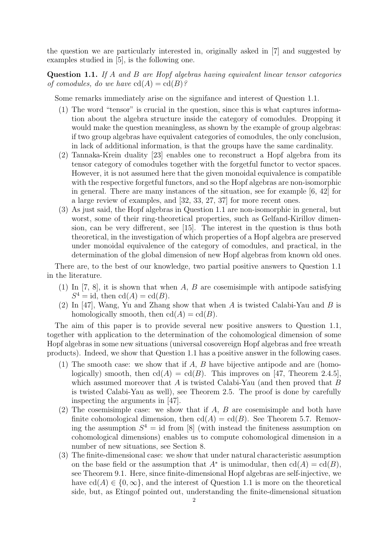the question we are particularly interested in, originally asked in [7] and suggested by examples studied in [5], is the following one.

Question 1.1. *If* A *and* B *are Hopf algebras having equivalent linear tensor categories of comodules, do we have*  $cd(A) = cd(B)$ ?

Some remarks immediately arise on the signifance and interest of Question 1.1.

- (1) The word "tensor" is crucial in the question, since this is what captures information about the algebra structure inside the category of comodules. Dropping it would make the question meaningless, as shown by the example of group algebras: if two group algebras have equivalent categories of comodules, the only conclusion, in lack of additional information, is that the groups have the same cardinality.
- (2) Tannaka-Krein duality [23] enables one to reconstruct a Hopf algebra from its tensor category of comodules together with the forgetful functor to vector spaces. However, it is not assumed here that the given monoidal equivalence is compatible with the respective forgetful functors, and so the Hopf algebras are non-isomorphic in general. There are many instances of the situation, see for example [6, 42] for a large review of examples, and [32, 33, 27, 37] for more recent ones.
- (3) As just said, the Hopf algebras in Question 1.1 are non-isomorphic in general, but worst, some of their ring-theoretical properties, such as Gelfand-Kirillov dimension, can be very diffrerent, see [15]. The interest in the question is thus both theoretical, in the investigation of which properties of a Hopf algebra are preserved under monoidal equivalence of the category of comodules, and practical, in the determination of the global dimension of new Hopf algebras from known old ones.

There are, to the best of our knowledge, two partial positive answers to Question 1.1 in the literature.

- (1) In [7, 8], it is shown that when A, B are cosemisimple with antipode satisfying  $S^4 = id$ , then  $cd(A) = cd(B)$ .
- (2) In [47], Wang, Yu and Zhang show that when A is twisted Calabi-Yau and B is homologically smooth, then  $cd(A) = cd(B)$ .

The aim of this paper is to provide several new positive answers to Question 1.1, together with application to the determination of the cohomological dimension of some Hopf algebras in some new situations (universal cosovereign Hopf algebras and free wreath products). Indeed, we show that Question 1.1 has a positive answer in the following cases.

- (1) The smooth case: we show that if A, B have bijective antipode and are (homologically) smooth, then  $cd(A) = cd(B)$ . This improves on [47, Theorem 2.4.5], which assumed moreover that  $A$  is twisted Calabi-Yau (and then proved that  $B$ is twisted Calabi-Yau as well), see Theorem 2.5. The proof is done by carefully inspecting the arguments in [47].
- (2) The cosemisimple case: we show that if A, B are cosemisimple and both have finite cohomological dimension, then  $cd(A) = cd(B)$ . See Theorem 5.7. Removing the assumption  $S^4 = id$  from [8] (with instead the finiteness assumption on cohomological dimensions) enables us to compute cohomological dimension in a number of new situations, see Section 8.
- (3) The finite-dimensional case: we show that under natural characteristic assumption on the base field or the assumption that  $A^*$  is unimodular, then  $cd(A) = cd(B)$ , see Theorem 9.1. Here, since finite-dimensional Hopf algebras are self-injective, we have  $cd(A) \in \{0, \infty\}$ , and the interest of Question 1.1 is more on the theoretical side, but, as Etingof pointed out, understanding the finite-dimensional situation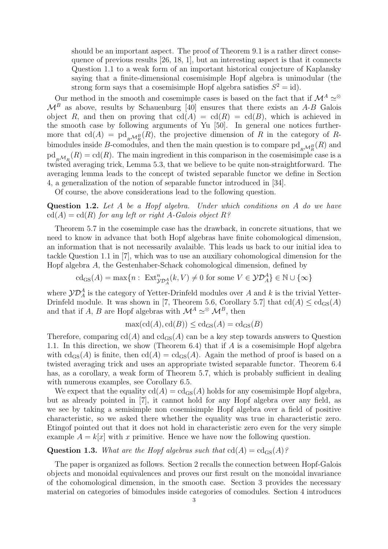should be an important aspect. The proof of Theorem 9.1 is a rather direct consequence of previous results [26, 18, 1], but an interesting aspect is that it connects Question 1.1 to a weak form of an important historical conjecture of Kaplansky saying that a finite-dimensional cosemisimple Hopf algebra is unimodular (the strong form says that a cosemisimple Hopf algebra satisfies  $S^2 = id$ .

Our method in the smooth and cosemimple cases is based on the fact that if  $\mathcal{M}^A \simeq \mathcal{O}$  $\mathcal{M}^B$  as above, results by Schauenburg [40] ensures that there exists an A-B Galois object R, and then on proving that  $cd(A) = cd(R) = cd(B)$ , which is achieved in the smooth case by following arguments of Yu [50]. In general one notices furthermore that  $\text{cd}(A) = \text{pd}_{R_{R}}(R)$ , the projective dimension of R in the category of Rbimodules inside B-comodules, and then the main question is to compare  $\text{pd}_{\underset{R}{R}\mathcal{M}_{R}^{B}}(R)$  and  $\mathrm{pd}_{R_{\mathcal{M}_R}}(R) = \mathrm{cd}(R)$ . The main ingredient in this comparison in the cosemisimple case is a twisted averaging trick, Lemma 5.3, that we believe to be quite non-straightforward. The averaging lemma leads to the concept of twisted separable functor we define in Section 4, a generalization of the notion of separable functor introduced in [34].

Of course, the above considerations lead to the following question.

Question 1.2. *Let* A *be a Hopf algebra. Under which conditions on* A *do we have*  $cd(A) = cd(R)$  *for any left or right A-Galois object*  $R$ ?

Theorem 5.7 in the cosemimple case has the drawback, in concrete situations, that we need to know in advance that both Hopf algebras have finite cohomological dimension, an information that is not necessarily avalaible. This leads us back to our initial idea to tackle Question 1.1 in [7], which was to use an auxiliary cohomological dimension for the Hopf algebra A, the Gestenhaber-Schack cohomological dimension, defined by

$$
\mathrm{cd}_{\mathrm{GS}}(A) = \max\{n : \ \mathrm{Ext}^n_{\mathcal{Y}D^A_A}(k, V) \neq 0 \ \mathrm{for \ some} \ V \in \mathcal{Y}D^A_A\} \in \mathbb{N} \cup \{\infty\}
$$

where  $\mathcal{YD}_A^A$  is the category of Yetter-Drinfeld modules over A and k is the trivial Yetter-Drinfeld module. It was shown in [7, Theorem 5.6, Corollary 5.7] that  $\text{cd}(A) \leq \text{cd}_{\text{GS}}(A)$ and that if A, B are Hopf algebras with  $\mathcal{M}^A \simeq \mathcal{M}^B$ , then

$$
\max(\mathrm{cd}(A),\mathrm{cd}(B)) \leq \mathrm{cd}_{\mathrm{GS}}(A) = \mathrm{cd}_{\mathrm{GS}}(B)
$$

Therefore, comparing  $cd(A)$  and  $cd_{GS}(A)$  can be a key step towards answers to Question 1.1. In this direction, we show (Theorem 6.4) that if A is a cosemisimple Hopf algebra with  $\text{cd}_{\text{GS}}(A)$  is finite, then  $\text{cd}(A) = \text{cd}_{\text{GS}}(A)$ . Again the method of proof is based on a twisted averaging trick and uses an appropriate twisted separable functor. Theorem 6.4 has, as a corollary, a weak form of Theorem 5.7, which is probably sufficient in dealing with numerous examples, see Corollary 6.5.

We expect that the equality  $cd(A) = cd_{GS}(A)$  holds for any cosemisimple Hopf algebra, but as already pointed in [7], it cannot hold for any Hopf algebra over any field, as we see by taking a semisimple non cosemisimple Hopf algebra over a field of positive characteristic, so we asked there whether the equality was true in characteristic zero. Etingof pointed out that it does not hold in characteristic zero even for the very simple example  $A = k[x]$  with x primitive. Hence we have now the following question.

# **Question 1.3.** *What are the Hopf algebras such that*  $cd(A) = cd_{GS}(A)$ *?*

The paper is organized as follows. Section 2 recalls the connection between Hopf-Galois objects and monoidal equivalences and proves our first result on the monoidal invariance of the cohomological dimension, in the smooth case. Section 3 provides the necessary material on categories of bimodules inside categories of comodules. Section 4 introduces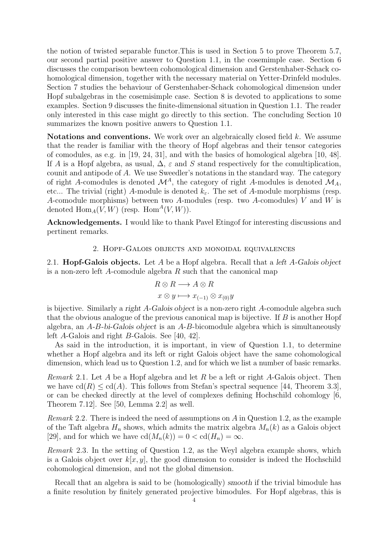the notion of twisted separable functor.This is used in Section 5 to prove Theorem 5.7, our second partial positive answer to Question 1.1, in the cosemimple case. Section 6 discusses the comparison bewteen cohomological dimension and Gerstenhaber-Schack cohomological dimension, together with the necessary material on Yetter-Drinfeld modules. Section 7 studies the behaviour of Gerstenhaber-Schack cohomological dimension under Hopf subalgebras in the cosemisimple case. Section 8 is devoted to applications to some examples. Section 9 discusses the finite-dimensional situation in Question 1.1. The reader only interested in this case might go directly to this section. The concluding Section 10 summarizes the known positive anwers to Question 1.1.

Notations and conventions. We work over an algebraically closed field k. We assume that the reader is familiar with the theory of Hopf algebras and their tensor categories of comodules, as e.g. in [19, 24, 31], and with the basics of homological algebra [10, 48]. If A is a Hopf algebra, as usual,  $\Delta$ ,  $\varepsilon$  and S stand respectively for the comultiplication, counit and antipode of A. We use Sweedler's notations in the standard way. The category of right A-comodules is denoted  $\mathcal{M}^A$ , the category of right A-modules is denoted  $\mathcal{M}_A$ , etc... The trivial (right) A-module is denoted  $k_{\varepsilon}$ . The set of A-module morphisms (resp. A-comodule morphisms) between two A-modules (resp. two A-comodules)  $V$  and  $W$  is denoted  $\text{Hom}_A(V, W)$  (resp.  $\text{Hom}^A(V, W)$ ).

Acknowledgements. I would like to thank Pavel Etingof for interesting discussions and pertinent remarks.

#### 2. Hopf-Galois objects and monoidal equivalences

2.1. **Hopf-Galois objects.** Let A be a Hopf algebra. Recall that a *left A-Galois object* is a non-zero left A-comodule algebra  $R$  such that the canonical map

$$
R \otimes R \longrightarrow A \otimes R
$$
  

$$
x \otimes y \longmapsto x_{(-1)} \otimes x_{(0)}y
$$

is bijective. Similarly a right A-Galois object is a non-zero right A-comodule algebra such that the obvious analogue of the previous canonical map is bijective. If  $B$  is another Hopf algebra, an  $A-B-bi-Galois object$  is an  $A-B-bicomodule algebra$  which is simultaneously left A-Galois and right B-Galois. See [40, 42].

As said in the introduction, it is important, in view of Question 1.1, to determine whether a Hopf algebra and its left or right Galois object have the same cohomological dimension, which lead us to Question 1.2, and for which we list a number of basic remarks.

*Remark* 2.1*.* Let A be a Hopf algebra and let R be a left or right A-Galois object. Then we have  $\text{cd}(R) \leq \text{cd}(A)$ . This follows from Stefan's spectral sequence [44, Theorem 3.3], or can be checked directly at the level of complexes defining Hochschild cohomlogy [6, Theorem 7.12]. See [50, Lemma 2.2] as well.

*Remark* 2.2*.* There is indeed the need of assumptions on A in Question 1.2, as the example of the Taft algebra  $H_n$  shows, which admits the matrix algebra  $M_n(k)$  as a Galois object [29], and for which we have  $\text{cd}(M_n(k)) = 0 < \text{cd}(H_n) = \infty$ .

*Remark* 2.3*.* In the setting of Question 1.2, as the Weyl algebra example shows, which is a Galois object over  $k[x, y]$ , the good dimension to consider is indeed the Hochschild cohomological dimension, and not the global dimension.

Recall that an algebra is said to be (homologically) smooth if the trivial bimodule has a finite resolution by finitely generated projective bimodules. For Hopf algebras, this is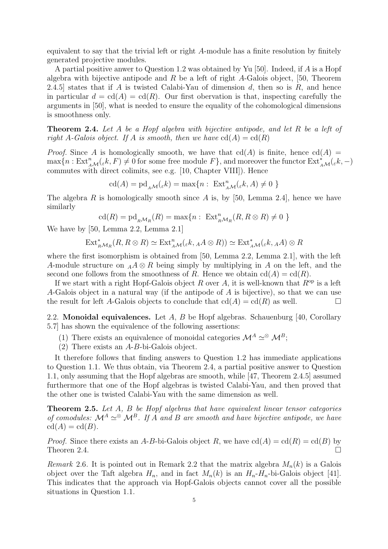equivalent to say that the trivial left or right A-module has a finite resolution by finitely generated projective modules.

A partial positive anwer to Question 1.2 was obtained by Yu [50]. Indeed, if A is a Hopf algebra with bijective antipode and  $R$  be a left of right  $A$ -Galois object, [50, Theorem 2.4.5] states that if A is twisted Calabi-Yau of dimension  $d$ , then so is  $R$ , and hence in particular  $d = \text{cd}(A) = \text{cd}(R)$ . Our first obervation is that, inspecting carefully the arguments in [50], what is needed to ensure the equality of the cohomological dimensions is smoothness only.

Theorem 2.4. *Let* A *be a Hopf algebra with bijective antipode, and let* R *be a left of right* A-Galois object. If A is smooth, then we have  $cd(A) = cd(R)$ 

*Proof.* Since A is homologically smooth, we have that  $cd(A)$  is finite, hence  $cd(A)$  $\max\{n : \text{Ext}_{A\mathcal{M}}^n(\varepsilon k, F) \neq 0 \text{ for some free module } F\},\$ and moreover the functor  $\text{Ext}_{A\mathcal{M}}^*(\varepsilon k, -)$ commutes with direct colimits, see e.g. [10, Chapter VIII]). Hence

$$
\operatorname{cd}(A)=\operatorname{pd}\nolimits_{\mathcal{AM}}(\varepsilon k)=\max\{n:\; \operatorname{Ext}\nolimits^n_{\mathcal{AM}}(\varepsilon k, A)\neq 0\; \}
$$

The algebra R is homologically smooth since A is, by [50, Lemma 2.4], hence we have similarly

$$
\mathrm{cd}(R)=\mathrm{pd}_{_R\mathcal{M}_R}(R)=\max\{n:\ \mathrm{Ext}^n_{_R\mathcal{M}_R}(R,R\otimes R)\neq 0\ \}
$$

We have by [50, Lemma 2.2, Lemma 2.1]

$$
\mathrm{Ext}^*_{_R\mathcal{M}_R}(R, R \otimes R) \simeq \mathrm{Ext}^n_{_A\mathcal{M}}({}_\varepsilon k, _A A \otimes R)) \simeq \mathrm{Ext}^*_{_A\mathcal{M}}({}_\varepsilon k, _A A) \otimes R
$$

where the first isomorphism is obtained from [50, Lemma 2.2, Lemma 2.1], with the left A-module structure on  $_A A \otimes R$  being simply by multiplying in A on the left, and the second one follows from the smoothness of R. Hence we obtain  $cd(A) = cd(R)$ .

If we start with a right Hopf-Galois object R over A, it is well-known that  $R^{op}$  is a left A-Galois object in a natural way (if the antipode of A is bijective), so that we can use the result for left A-Galois objects to conclude that  $cd(A) = cd(R)$  as well.

2.2. Monoidal equivalences. Let  $A, B$  be Hopf algebras. Schauenburg [40, Corollary 5.7] has shown the equivalence of the following assertions:

- (1) There exists an equivalence of monoidal categories  $\mathcal{M}^A \simeq \mathcal{M}^B$ ;
- (2) There exists an A-B-bi-Galois object.

It therefore follows that finding answers to Question 1.2 has immediate applications to Question 1.1. We thus obtain, via Theorem 2.4, a partial positive answer to Question 1.1, only assuming that the Hopf algebras are smooth, while [47, Theorem 2.4.5] assumed furthermore that one of the Hopf algebras is twisted Calabi-Yau, and then proved that the other one is twisted Calabi-Yau with the same dimension as well.

Theorem 2.5. *Let* A*,* B *be Hopf algebras that have equivalent linear tensor categories of comodules:*  $\mathcal{M}^A \simeq \mathcal{M}^B$ . If A and B are smooth and have bijective antipode, we have  $cd(A) = cd(B)$ .

*Proof.* Since there exists an A-B-bi-Galois object R, we have  $cd(A) = cd(R) = cd(B)$  by Theorem 2.4.

*Remark* 2.6. It is pointed out in Remark 2.2 that the matrix algebra  $M_n(k)$  is a Galois object over the Taft algebra  $H_n$ , and in fact  $M_n(k)$  is an  $H_n$ - $H_n$ -bi-Galois object [41]. This indicates that the approach via Hopf-Galois objects cannot cover all the possible situations in Question 1.1.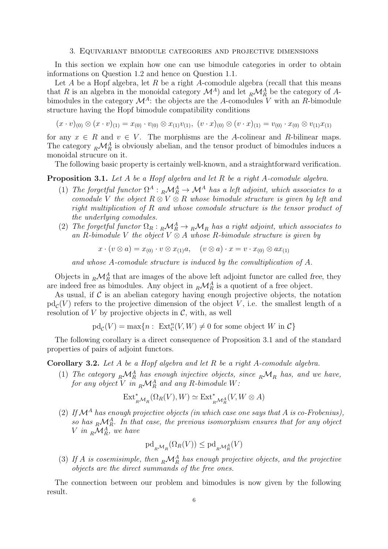#### 3. Equivariant bimodule categories and projective dimensions

In this section we explain how one can use bimodule categories in order to obtain informations on Question 1.2 and hence on Question 1.1.

Let A be a Hopf algebra, let R be a right A-comodule algebra (recall that this means that R is an algebra in the monoidal category  $\mathcal{M}^A$ ) and let  $_R\mathcal{M}_R^A$  be the category of Abimodules in the category  $\mathcal{M}^A$ : the objects are the A-comodules V with an R-bimodule structure having the Hopf bimodule compatibility conditions

 $(x \cdot v)_{(0)} \otimes (x \cdot v)_{(1)} = x_{(0)} \cdot v_{(0)} \otimes x_{(1)}v_{(1)}, (v \cdot x)_{(0)} \otimes (v \cdot x)_{(1)} = v_{(0)} \cdot x_{(0)} \otimes v_{(1)}x_{(1)}$ 

for any  $x \in R$  and  $v \in V$ . The morphisms are the A-colinear and R-bilinear maps. The category  $_R\mathcal{M}_R^A$  is obviously abelian, and the tensor product of bimodules induces a monoidal strucure on it.

The following basic property is certainly well-known, and a straightforward verification.

# Proposition 3.1. *Let* A *be a Hopf algebra and let* R *be a right* A*-comodule algebra.*

- (1) The forgetful functor  $\Omega^A: R\mathcal{M}_R^A \to \mathcal{M}^A$  has a left adjoint, which associates to a *comodule* V *the object* R ⊗ V ⊗ R *whose bimodule structure is given by left and right multiplication of* R *and whose comodule structure is the tensor product of the underlying comodules.*
- (2) *The forgetful functor*  $\Omega_R: {}_R{\mathcal{M}_R}^A \to {}_R{\mathcal{M}_R}$  *has a right adjoint, which associates to* an R-bimodule V the object  $V \otimes A$  whose R-bimodule structure is given by

$$
x \cdot (v \otimes a) = x_{(0)} \cdot v \otimes x_{(1)}a, \quad (v \otimes a) \cdot x = v \cdot x_{(0)} \otimes ax_{(1)}
$$

*and whose* A*-comodule structure is induced by the comultiplication of* A*.*

Objects in  ${}_{R}\mathcal{M}_{R}^{A}$  that are images of the above left adjoint functor are called free, they are indeed free as bimodules. Any object in  ${}_{R}\mathcal{M}^{A}_{R}$  is a quotient of a free object.

As usual, if  $\mathcal C$  is an abelian category having enough projective objects, the notation  $\text{pd}_{\mathcal{C}}(V)$  refers to the projective dimension of the object V, i.e. the smallest length of a resolution of  $V$  by projective objects in  $\mathcal{C}$ , with, as well

 $\text{pd}_{\mathcal{C}}(V) = \max\{n : \operatorname{Ext}^n_{\mathcal{C}}(V,W) \neq 0 \text{ for some object } W \text{ in } \mathcal{C}\}\$ 

The following corollary is a direct consequence of Proposition 3.1 and of the standard properties of pairs of adjoint functors.

Corollary 3.2. *Let* A *be a Hopf algebra and let* R *be a right* A*-comodule algebra.*

(1) The category  $_R \mathcal{M}_R^A$  has enough injective objects, since  $_R \mathcal{M}_R$  has, and we have, for any object V in  $_R\mathcal{M}_R^A$  and any R-bimodule W:

$$
\mathrm{Ext}^*_{_R\mathcal{M}_R}(\Omega_R(V),W)\simeq\mathrm{Ext}^*_{_R\mathcal{M}^A_R}(V,W\otimes A)
$$

(2) If  $\mathcal{M}^A$  has enough projective objects (in which case one says that A is co-Frobenius), so has  $_R\mathcal{M}_R^A$ . In that case, the previous isomorphism ensures that for any object  $V$  *in*  $_R\mathcal{M}_R^A$ *, we have* 

$$
\mathrm{pd}_{_R\mathcal{M}_R}(\Omega_R(V))\leq\mathrm{pd}_{_R\mathcal{M}_R^A}(V)
$$

(3) If A is cosemisimple, then  $_R\mathcal{M}_R^A$  has enough projective objects, and the projective *objects are the direct summands of the free ones.*

The connection between our problem and bimodules is now given by the following result.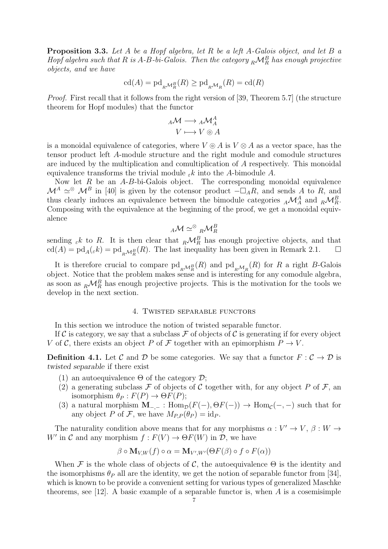Proposition 3.3. *Let* A *be a Hopf algebra, let* R *be a left* A*-Galois object, and let* B *a Hopf algebra such that*  $R$  *is A-B-bi-Galois. Then the category*  $_R{\cal M}_R^B$  *has enough projective objects, and we have*

$$
\operatorname{cd}(A)=\operatorname{pd}_{_R\mathcal{M}_R^B}(R)\geq\operatorname{pd}_{_R\mathcal{M}_R}(R)=\operatorname{cd}(R)
$$

*Proof.* First recall that it follows from the right version of [39, Theorem 5.7] (the structure theorem for Hopf modules) that the functor

$$
{}_{A}\mathcal{M} \longrightarrow {}_{A}\mathcal{M}_{A}^{A}
$$

$$
V \longmapsto V \circledcirc A
$$

is a monoidal equivalence of categories, where  $V \odot A$  is  $V \otimes A$  as a vector space, has the tensor product left A-module structure and the right module and comodule structures are induced by the multiplication and comultiplication of A respectively. This monoidal equivalence transforms the trivial module  $\varepsilon k$  into the A-bimodule A.

Now let  $R$  be an  $A-B$ -bi-Galois object. The corresponding monoidal equivalence  $\mathcal{M}^A \simeq^{\otimes} \mathcal{M}^B$  in [40] is given by the cotensor product  $-\Box_A R$ , and sends A to R, and thus clearly induces an equivalence between the bimodule categories  $_A\mathcal{M}_A^A$  and  $_R\mathcal{M}_R^B$ . Composing with the equivalence at the beginning of the proof, we get a monoidal equivalence

$$
{}_A\mathcal{M}\simeq^{\otimes}{}_R\mathcal{M}^B_R
$$

sending  $\varepsilon k$  to R. It is then clear that  $_R\mathcal{M}_R^B$  has enough projective objects, and that  $\text{cd}(A) = \text{pd}_{A}(\varepsilon k) = \text{pd}_{R} \mathcal{M}_{R}^{B}(R)$ . The last inequality has been given in Remark 2.1.  $\Box$ 

It is therefore crucial to compare  $\text{pd}_{R\mathcal{M}_{R}^{B}}(R)$  and  $\text{pd}_{R\mathcal{M}_{R}}(R)$  for R a right B-Galois object. Notice that the problem makes sense and is interesting for any comodule algebra, as soon as  ${}_{R}\mathcal{M}^{B}_{R}$  has enough projective projects. This is the motivation for the tools we develop in the next section.

# 4. Twisted separable functors

In this section we introduce the notion of twisted separable functor.

If C is category, we say that a subclass F of objects of C is generating if for every object V of C, there exists an object P of F together with an epimorphism  $P \to V$ .

**Definition 4.1.** Let C and D be some categories. We say that a functor  $F : C \to D$  is twisted separable if there exist

- (1) an autoequivalence  $\Theta$  of the category  $\mathcal{D}$ ;
- (2) a generating subclass  $\mathcal F$  of objects of  $\mathcal C$  together with, for any object  $P$  of  $\mathcal F$ , an isomorphism  $\theta_P : F(P) \to \Theta F(P)$ ;
- (3) a natural morphism  $\mathbf{M}_{-,-}$ :  $\text{Hom}_{\mathcal{D}}(F(-), \Theta F(-)) \to \text{Hom}_{\mathcal{C}}(-, -)$  such that for any object P of F, we have  $M_{P,P}(\theta_P) = \mathrm{id}_P$ .

The naturality condition above means that for any morphisms  $\alpha: V' \to V$ ,  $\beta: W \to V'$ W' in C and any morphism  $f: F(V) \to \Theta F(W)$  in D, we have

$$
\beta \circ \mathbf{M}_{V,W}(f) \circ \alpha = \mathbf{M}_{V',W'}(\Theta F(\beta) \circ f \circ F(\alpha))
$$

When F is the whole class of objects of C, the autoequivalence  $\Theta$  is the identity and the isomorphisms  $\theta_P$  all are the identity, we get the notion of separable functor from [34], which is known to be provide a convenient setting for various types of generalized Maschke theorems, see [12]. A basic example of a separable functor is, when  $A$  is a cosemisimple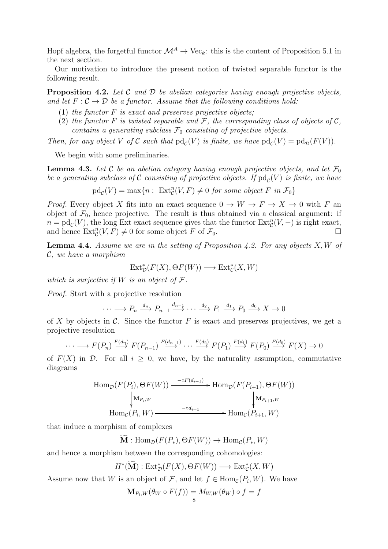Hopf algebra, the forgetful functor  $\mathcal{M}^A \to \text{Vec}_k$ : this is the content of Proposition 5.1 in the next section.

Our motivation to introduce the present notion of twisted separable functor is the following result.

Proposition 4.2. *Let* C *and* D *be abelian categories having enough projective objects,* and let  $F: \mathcal{C} \to \mathcal{D}$  be a functor. Assume that the following conditions hold:

- (1) *the functor* F *is exact and preserves projective objects;*
- (2) the functor F is twisted separable and F, the corresponding class of objects of  $\mathcal{C}$ , *contains a generating subclass*  $\mathcal{F}_0$  *consisting of projective objects.*

*Then, for any object* V of C such that  $pd_c(V)$  is finite, we have  $pd_c(V) = pd_p(F(V))$ .

We begin with some preliminaries.

**Lemma 4.3.** Let C be an abelian category having enough projective objects, and let  $\mathcal{F}_0$ be a generating subclass of  $\mathcal C$  consisting of projective objects. If  $\text{pd}_{\mathcal C}(V)$  is finite, we have

$$
\mathrm{pd}_{\mathcal{C}}(V) = \max\{n : \ \mathrm{Ext}^n_{\mathcal{C}}(V,F) \neq 0 \ \text{for some object } F \ \text{in } \mathcal{F}_0\}
$$

*Proof.* Every object X fits into an exact sequence  $0 \to W \to F \to X \to 0$  with F an object of  $\mathcal{F}_0$ , hence projective. The result is thus obtained via a classical argument: if  $n = \text{pd}_{\mathcal{C}}(V)$ , the long Ext exact sequence gives that the functor  $\text{Ext}^n_{\mathcal{C}}(V, -)$  is right exact, and hence  $\text{Ext}^n_{\mathcal{C}}(V, F) \neq 0$  for some object F of  $\mathcal{F}_0$ .

Lemma 4.4. *Assume we are in the setting of Proposition 4.2. For any objects* X, W *of* C*, we have a morphism*

$$
\mathrm{Ext}^*_{\mathcal{D}}(F(X),\Theta F(W)) \longrightarrow \mathrm{Ext}^*_{\mathcal{C}}(X,W)
$$

*which is surjective if* W *is an object of* F*.*

*Proof.* Start with a projective resolution

$$
\cdots \longrightarrow P_n \xrightarrow{d_n} P_{n-1} \xrightarrow{d_{n-1}} \cdots \xrightarrow{d_2} P_1 \xrightarrow{d_1} P_0 \xrightarrow{d_0} X \longrightarrow 0
$$

of X by objects in C. Since the functor F is exact and preserves projectives, we get a projective resolution

$$
\cdots \longrightarrow F(P_n) \stackrel{F(d_n)}{\longrightarrow} F(P_{n-1}) \stackrel{F(d_{n-1})}{\longrightarrow} \cdots \stackrel{F(d_2)}{\longrightarrow} F(P_1) \stackrel{F(d_1)}{\longrightarrow} F(P_0) \stackrel{F(d_0)}{\longrightarrow} F(X) \to 0
$$

of  $F(X)$  in  $D$ . For all  $i \geq 0$ , we have, by the naturality assumption, commutative diagrams

$$
\text{Hom}_{\mathcal{D}}(F(P_i), \Theta F(W)) \xrightarrow{\qquad \qquad \text{--}\text{--}\text{--}^{C}(\text{--}\text{--}\text{--}\text{--}\text{--}\text{--}} \text{Hom}_{\mathcal{D}}(F(P_{i+1}), \Theta F(W))
$$
\n
$$
\downarrow \text{M}_{P_i, W} \qquad \qquad \downarrow \text{M}_{P_{i+1}, W}
$$
\n
$$
\text{Hom}_{\mathcal{C}}(P_i, W) \xrightarrow{\qquad \qquad \text{--}\text{--}\text{--}\text{--}\text{--}\text{--}\text{--}} \text{Hom}_{\mathcal{C}}(P_{i+1}, W)
$$

that induce a morphism of complexes

$$
\mathbf{M}:\mathrm{Hom}_{\mathcal{D}}(F(P_*),\Theta F(W))\to \mathrm{Hom}_{\mathcal{C}}(P_*,W)
$$

and hence a morphism between the corresponding cohomologies:

$$
H^*(\widetilde{\mathbf{M}}): \text{Ext}^*_{\mathcal{D}}(F(X), \Theta F(W)) \longrightarrow \text{Ext}^*_{\mathcal{C}}(X, W)
$$

Assume now that W is an object of  $\mathcal{F}$ , and let  $f \in \text{Hom}_{\mathcal{C}}(P_i, W)$ . We have

$$
\mathbf{M}_{P_i,W}(\theta_W \circ F(f)) = M_{W,W}(\theta_W) \circ f = f
$$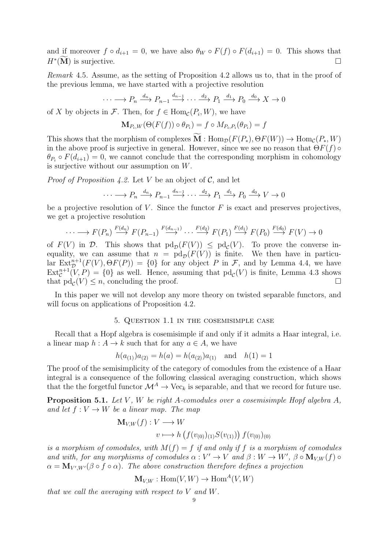and if moreover  $f \circ d_{i+1} = 0$ , we have also  $\theta_W \circ F(f) \circ F(d_{i+1}) = 0$ . This shows that  $H^*(\overline{\mathbf{M}})$  is surjective.

*Remark* 4.5*.* Assume, as the setting of Proposition 4.2 allows us to, that in the proof of the previous lemma, we have started with a projective resolution

$$
\cdots \longrightarrow P_n \xrightarrow{d_n} P_{n-1} \xrightarrow{d_{n-1}} \cdots \xrightarrow{d_2} P_1 \xrightarrow{d_1} P_0 \xrightarrow{d_0} X \longrightarrow 0
$$

of X by objects in  $\mathcal{F}$ . Then, for  $f \in \text{Hom}_{\mathcal{C}}(P_i, W)$ , we have

$$
\mathbf{M}_{P_i,W}(\Theta(F(f)) \circ \theta_{P_i}) = f \circ M_{P_i,P_i}(\theta_{P_i}) = f
$$

This shows that the morphism of complexes  $\mathbf{M}$  : Hom<sub> $\mathcal{D}(F(P_*), \Theta F(W)) \to \text{Hom}_{\mathcal{C}}(P_*, W)$ </sub> in the above proof is surjective in general. However, since we see no reason that  $\Theta F(f)$   $\circ$  $\theta_{P_i} \circ F(d_{i+1}) = 0$ , we cannot conclude that the corresponding morphism in cohomology is surjective without our assumption on W.

*Proof of Proposition 4.2.* Let V be an object of C, and let

$$
\cdots \longrightarrow P_n \xrightarrow{d_n} P_{n-1} \xrightarrow{d_{n-1}} \cdots \xrightarrow{d_2} P_1 \xrightarrow{d_1} P_0 \xrightarrow{d_0} V \longrightarrow 0
$$

be a projective resolution of V. Since the functor  $F$  is exact and preserves projectives, we get a projective resolution

$$
\cdots \longrightarrow F(P_n) \stackrel{F(d_n)}{\longrightarrow} F(P_{n-1}) \stackrel{F(d_{n-1})}{\longrightarrow} \cdots \stackrel{F(d_2)}{\longrightarrow} F(P_1) \stackrel{F(d_1)}{\longrightarrow} F(P_0) \stackrel{F(d_0)}{\longrightarrow} F(V) \longrightarrow 0
$$

of  $F(V)$  in  $\mathcal{D}$ . This shows that  $\text{pd}_{\mathcal{D}}(F(V)) \leq \text{pd}_{\mathcal{C}}(V)$ . To prove the converse inequality, we can assume that  $n = \text{pd}_{\mathcal{D}}(F(V))$  is finite. We then have in particular  $\text{Ext}^{n+1}_{\mathcal{D}}(F(V), \Theta F(P)) = \{0\}$  for any object P in F, and by Lemma 4.4, we have  $\text{Ext}_{\mathcal{C}}^{n+1}(V,P) = \{0\}$  as well. Hence, assuming that  $\text{pd}_{\mathcal{C}}(V)$  is finite, Lemma 4.3 shows that  $\mathrm{pd}_{\mathcal{C}}(V) \leq n$ , concluding the proof.

In this paper we will not develop any more theory on twisted separable functors, and will focus on applications of Proposition 4.2.

### 5. Question 1.1 in the cosemisimple case

Recall that a Hopf algebra is cosemisimple if and only if it admits a Haar integral, i.e. a linear map  $h: A \to k$  such that for any  $a \in A$ , we have

$$
h(a_{(1)})a_{(2)} = h(a) = h(a_{(2)})a_{(1)}
$$
 and  $h(1) = 1$ 

The proof of the semisimplicity of the category of comodules from the existence of a Haar integral is a consequence of the following classical averaging construction, which shows that the the forgetful functor  $\mathcal{M}^A \to \text{Vec}_k$  is separable, and that we record for future use.

Proposition 5.1. *Let* V *,* W *be right* A*-comodules over a cosemisimple Hopf algebra* A*, and let*  $f: V \to W$  *be a linear map. The map* 

$$
\mathbf{M}_{V,W}(f) : V \longrightarrow W
$$
  

$$
v \longmapsto h\left(f(v_{(0)})_{(1)}S(v_{(1)})\right)f(v_{(0)})_{(0)}
$$

*is a morphism of comodules, with*  $M(f) = f$  *if and only if* f *is a morphism of comodules and with, for any morphisms of comodules*  $\alpha : V' \to V$  *and*  $\beta : W \to W'$ ,  $\beta \circ M_{V,W}(f) \circ$  $\alpha = \mathbf{M}_{V',W'}(\beta \circ f \circ \alpha)$ . The above construction therefore defines a projection

$$
\mathbf{M}_{V,W} : \mathrm{Hom}(V,W) \to \mathrm{Hom}^A(V,W)
$$

*that we call the averaging with respect to* V *and* W*.*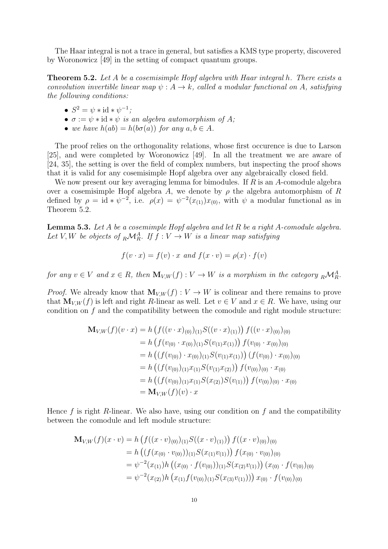The Haar integral is not a trace in general, but satisfies a KMS type property, discovered by Woronowicz [49] in the setting of compact quantum groups.

Theorem 5.2. *Let* A *be a cosemisimple Hopf algebra with Haar integral* h*. There exists a convolution invertible linear map*  $\psi: A \to k$ *, called a modular functional on* A, satisfying *the following conditions:*

- $S^2 = \psi * \mathrm{id} * \psi^{-1}$ ;
- $\bullet \ \sigma := \psi * id * \psi \ \text{is an algebra automorphism of } A;$
- *we have*  $h(ab) = h(b\sigma(a))$  *for any*  $a, b \in A$ *.*

The proof relies on the orthogonality relations, whose first occurence is due to Larson [25], and were completed by Woronowicz [49]. In all the treatment we are aware of [24, 35], the setting is over the field of complex numbers, but inspecting the proof shows that it is valid for any cosemisimple Hopf algebra over any algebraically closed field.

We now present our key averaging lemma for bimodules. If  $R$  is an  $A$ -comodule algebra over a cosemisimple Hopf algebra A, we denote by  $\rho$  the algebra automorphism of R defined by  $\rho = id * \psi^{-2}$ , i.e.  $\rho(x) = \psi^{-2}(x_{(1)})x_{(0)}$ , with  $\psi$  a modular functional as in Theorem 5.2.

Lemma 5.3. *Let* A *be a cosemimple Hopf algebra and let* R *be a right* A*-comodule algebra.* Let  $V, W$  be objects of  $_R \mathcal{M}_R^A$ . If  $f : V \to W$  is a linear map satisfying

$$
f(v \cdot x) = f(v) \cdot x \text{ and } f(x \cdot v) = \rho(x) \cdot f(v)
$$

*for any*  $v \in V$  *and*  $x \in R$ *, then*  $\mathbf{M}_{V,W}(f) : V \to W$  *is a morphism in the category*  ${}_{R}\mathcal{M}_{R}^{A}$ *.* 

*Proof.* We already know that  $\mathbf{M}_{V,W}(f): V \to W$  is colinear and there remains to prove that  $\mathbf{M}_{V,W}(f)$  is left and right R-linear as well. Let  $v \in V$  and  $x \in R$ . We have, using our condition on f and the compatibility between the comodule and right module structure:

$$
\mathbf{M}_{V,W}(f)(v \cdot x) = h \left( f((v \cdot x)_{(0)})_{(1)} S((v \cdot x)_{(1)}) \right) f((v \cdot x)_{(0)})_{(0)}
$$
\n
$$
= h \left( f(v_{(0)} \cdot x_{(0)})_{(1)} S(v_{(1)} x_{(1)}) \right) f(v_{(0)} \cdot x_{(0)})_{(0)}
$$
\n
$$
= h \left( (f(v_{(0)}) \cdot x_{(0)})_{(1)} S(v_{(1)} x_{(1)}) \right) (f(v_{(0)}) \cdot x_{(0)})_{(0)}
$$
\n
$$
= h \left( (f(v_{(0)})_{(1)} x_{(1)} S(v_{(1)} x_{(2)}) \right) f(v_{(0)})_{(0)} \cdot x_{(0)}
$$
\n
$$
= h \left( (f(v_{(0)})_{(1)} x_{(1)} S(x_{(2)}) S(v_{(1)}) \right) f(v_{(0)})_{(0)} \cdot x_{(0)}
$$
\n
$$
= \mathbf{M}_{V,W}(f)(v) \cdot x
$$

Hence f is right R-linear. We also have, using our condition on f and the compatibility between the comodule and left module structure:

$$
\mathbf{M}_{V,W}(f)(x \cdot v) = h \left( f((x \cdot v)_{(0)})_{(1)} S((x \cdot v)_{(1)}) \right) f((x \cdot v)_{(0)})_{(0)}
$$
\n
$$
= h \left( (f(x_{(0)} \cdot v_{(0)}))_{(1)} S(x_{(1)} v_{(1)}) \right) f(x_{(0)} \cdot v_{(0)})_{(0)}
$$
\n
$$
= \psi^{-2}(x_{(1)}) h \left( (x_{(0)} \cdot f(v_{(0)}))_{(1)} S(x_{(2)} v_{(1)}) \right) (x_{(0)} \cdot f(v_{(0)})_{(0)}
$$
\n
$$
= \psi^{-2}(x_{(2)}) h \left( x_{(1)} f(v_{(0)})_{(1)} S(x_{(3)} v_{(1)}) \right) x_{(0)} \cdot f(v_{(0)})_{(0)}
$$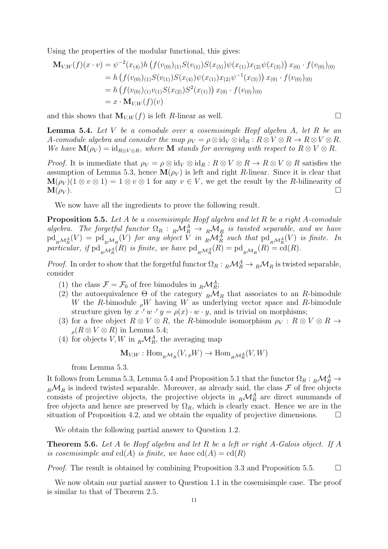Using the properties of the modular functional, this gives:

$$
\mathbf{M}_{V,W}(f)(x \cdot v) = \psi^{-2}(x_{(4)})h\left(f(v_{(0)})_{(1)}S(v_{(1)})S(x_{(5)})\psi(x_{(1)})x_{(2)}\psi(x_{(3)})\right)x_{(0)} \cdot f(v_{(0)})_{(0)}
$$
\n
$$
= h\left(f(v_{(0)})_{(1)}S(v_{(1)})S(x_{(4)})\psi(x_{(1)})x_{(2)}\psi^{-1}(x_{(3)})\right)x_{(0)} \cdot f(v_{(0)})_{(0)}
$$
\n
$$
= h\left(f(v_{(0)})_{(1)}v_{(1)}S(x_{(2)})S^{2}(x_{(1)})\right)x_{(0)} \cdot f(v_{(0)})_{(0)}
$$
\n
$$
= x \cdot \mathbf{M}_{V,W}(f)(v)
$$

and this shows that  $\mathbf{M}_{V,W}(f)$  is left R-linear as well.

Lemma 5.4. *Let* V *be a comodule over a cosemisimple Hopf algebra* A*, let* R *be an* A-comodule algebra and consider the map  $\rho_V = \rho \otimes id_V \otimes id_R : R \otimes V \otimes R \rightarrow R \otimes V \otimes R$ . *We have*  $\mathbf{M}(\rho_V) = \mathrm{id}_{R\otimes V\otimes R}$ *, where*  $\mathbf{M}$  *stands for averaging with respect to*  $R\otimes V\otimes R$ *.* 

*Proof.* It is immediate that  $\rho_V = \rho \otimes id_V \otimes id_R : R \otimes V \otimes R \to R \otimes V \otimes R$  satisfies the assumption of Lemma 5.3, hence  $\mathbf{M}(\rho_V)$  is left and right R-linear. Since it is clear that  $\mathbf{M}(\rho_V)(1 \otimes v \otimes 1) = 1 \otimes v \otimes 1$  for any  $v \in V$ , we get the result by the *R*-bilinearity of  $\mathbf{M}(\rho_V)$ .  $\mathbf{M}(\rho_V)$ .

We now have all the ingredients to prove the following result.

Proposition 5.5. *Let* A *be a cosemisimple Hopf algebra and let* R *be a right* A*-comodule algebra.* The forgetful functor  $\Omega_R$ :  $_R\mathcal{M}_R^A \to {}_R\mathcal{M}_R$  is twisted separable, and we have  $\mathrm{pd}_{R\mathcal{M}_{R}^{A}}(V) = \mathrm{pd}_{R\mathcal{M}_{R}}(V)$  for any object V in  ${}_{R}\mathcal{M}_{R}^{A}$  such that  $\mathrm{pd}_{R\mathcal{M}_{R}^{A}}(V)$  is finite. In particular, if  $\mathrm{pd}_{R\mathcal{M}_{R}^{A}}(R)$  is finite, we have  $\mathrm{pd}_{R\mathcal{M}_{R}^{A}}(R) = \mathrm{pd}_{R\mathcal{M}_{R}}(R) = \mathrm{cd}(R)$ .

*Proof.* In order to show that the forgetful functor  $\Omega_R: {}_R\mathcal{M}_R^A \to {}_R\mathcal{M}_R$  is twisted separable, consider

- (1) the class  $\mathcal{F} = \mathcal{F}_0$  of free bimodules in  $_R \mathcal{M}_R^A$ ;
- (2) the autoequivalence  $\Theta$  of the category  $_R\mathcal{M}_R$  that associates to an R-bimodule W the R-bimodule  $\partial W$  having W as underlying vector space and R-bimodule structure given by  $x \cdot' w \cdot' y = \rho(x) \cdot w \cdot y$ , and is trivial on morphisms;
- (3) for a free object  $R \otimes V \otimes R$ , the R-bimodule isomorphism  $\rho_V : R \otimes V \otimes R \rightarrow$  $_{\rho}(R \otimes V \otimes R)$  in Lemma 5.4;
- (4) for objects  $V, W$  in  $_R \mathcal{M}_R^A$ , the averaging map

$$
\mathbf{M}_{V,W} : \mathrm{Hom}_{R\mathcal{M}_R}(V, {}_\rho W) \to \mathrm{Hom}_{R\mathcal{M}_R^A}(V, W)
$$

from Lemma 5.3.

It follows from Lemma 5.3, Lemma 5.4 and Proposition 5.1 that the functor  $\Omega_R : {}_R\mathcal{M}_R^A \to$  $_R\mathcal{M}_R$  is indeed twisted separable. Moreover, as already said, the class  $\mathcal F$  of free objects consists of projective objects, the projective objects in  $_R\mathcal{M}_R^A$  are direct summands of free objects and hence are preserved by  $\Omega_R$ , which is clearly exact. Hence we are in the situation of Proposition 4.2, and we obtain the equality of projective dimensions.  $\Box$ 

We obtain the following partial answer to Question 1.2.

Theorem 5.6. *Let* A *be Hopf algebra and let* R *be a left or right* A*-Galois object. If* A *is cosemisimple and*  $cd(A)$  *is finite, we have*  $cd(A) = cd(R)$ 

*Proof.* The result is obtained by combining Proposition 3.3 and Proposition 5.5.  $\Box$ 

We now obtain our partial answer to Question 1.1 in the cosemisimple case. The proof is similar to that of Theorem 2.5.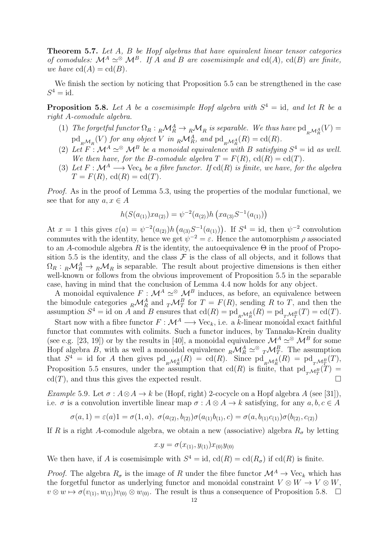Theorem 5.7. *Let* A*,* B *be Hopf algebras that have equivalent linear tensor categories of comodules:*  $\mathcal{M}^A \simeq \mathcal{M}^B$ . If A and B are cosemisimple and cd(A), cd(B) are finite, *we have*  $cd(A) = cd(B)$ *.* 

We finish the section by noticing that Proposition 5.5 can be strengthened in the case  $S^4 = \mathrm{id}.$ 

**Proposition 5.8.** Let A be a cosemisimple Hopf algebra with  $S<sup>4</sup> = id$ , and let R be a *right* A*-comodule algebra.*

- (1) *The forgetful functor*  $\Omega_R: {}_R{\mathcal M}^A_R \to {}_R{\mathcal M}_R$  *is separable. We thus have*  $\text{pd}_{_R{\mathcal M}^A_R}(V) =$  $\mathrm{pd}_{R^{\mathcal{M}_{R}}}(V)$  *for any object* V *in*  ${}_{R}\mathcal{M}_{R}^{A}$ *, and*  $\mathrm{pd}_{R^{\mathcal{M}_{R}^{A}}}(R) = \mathrm{cd}(R)$ *.*
- (2) Let  $F : \mathcal{M}^A \simeq \mathcal{M}^B$  be a monoidal equivalence with B satisfying  $S^4 = id$  as well. *We then have, for the B-comodule algebra*  $T = F(R)$ ,  $cd(R) = cd(T)$ *.*
- (3) Let  $F : \mathcal{M}^A \longrightarrow \text{Vec}_k$  *be a fibre functor.* If  $cd(R)$  *is finite, we have, for the algebra*  $T = F(R)$ , cd $(R) = \text{cd}(T)$ .

*Proof.* As in the proof of Lemma 5.3, using the properties of the modular functional, we see that for any  $a, x \in A$ 

$$
h(S(a_{(1)})xa_{(2)}) = \psi^{-2}(a_{(2)})h\left(xa_{(3)}S^{-1}(a_{(1)})\right)
$$

At  $x = 1$  this gives  $\varepsilon(a) = \psi^{-2}(a_{(2)})h(a_{(3)}S^{-1}(a_{(1)}))$ . If  $S^4 = id$ , then  $\psi^{-2}$  convolution commutes with the identity, hence we get  $\psi^{-2} = \varepsilon$ . Hence the automorphism  $\rho$  associated to an A-comodule algebra R is the identity, the autoequivalence  $\Theta$  in the proof of Proposition 5.5 is the identity, and the class  $\mathcal F$  is the class of all objects, and it follows that  $\Omega_R: {}_R\mathcal{M}_R^A \to {}_R\mathcal{M}_R$  is separable. The result about projective dimensions is then either well-known or follows from the obvious improvement of Proposition 5.5 in the separable case, having in mind that the conclusion of Lemma 4.4 now holds for any object.

A monoidal equivalence  $F : \mathcal{M}^A \simeq \mathcal{M}^B$  induces, as before, an equivalence between the bimodule categories  $_R\mathcal{M}_R^A$  and  ${}_T\mathcal{M}_T^B$  for  $T = F(R)$ , sending R to T, and then the assumption  $S^4 = \text{id}$  on A and B ensures that  $\text{cd}(R) = \text{pd}_{R\mathcal{M}_{R}^A}(R) = \text{pd}_{T\mathcal{M}_{T}^B}(T) = \text{cd}(T)$ .

Start now with a fibre functor  $F : \mathcal{M}^A \longrightarrow \text{Vec}_k$ , i.e. a k-linear monoidal exact faithful functor that commutes with colimits. Such a functor induces, by Tannaka-Krein duality (see e.g. [23, 19]) or by the results in [40], a monoidal equivalence  $\mathcal{M}^A \simeq \mathcal{M}^B$  for some Hopf algebra B, with as well a monoidal equivalence  ${}_{R}\mathcal{M}_{R}^{A} \simeq {}^{\otimes} {}_{T}\mathcal{M}_{T}^{B}$ . The assumption that  $S^4$  = id for A then gives  $\text{pd}_{R\mathcal{M}_{R}^A}(R) = \text{cd}(R)$ . Since  $\text{pd}_{R\mathcal{M}_{R}^A}(R) = \text{pd}_{T\mathcal{M}_{T}^B}(T)$ , Proposition 5.5 ensures, under the assumption that  $cd(R)$  is finite, that  $pd_{T}\mathcal{M}_{T}^{B}(T) =$  $cd(T)$ , and thus this gives the expected result.

*Example* 5.9. Let  $\sigma: A \otimes A \rightarrow k$  be (Hopf, right) 2-cocycle on a Hopf algebra A (see [31]), i.e.  $\sigma$  is a convolution invertible linear map  $\sigma: A \otimes A \to k$  satisfying, for any  $a, b, c \in A$ 

$$
\sigma(a,1) = \varepsilon(a)1 = \sigma(1,a), \ \sigma(a_{(2)},b_{(2)})\sigma(a_{(1)}b_{(1)},c) = \sigma(a,b_{(1)}c_{(1)})\sigma(b_{(2)},c_{(2)})
$$

If R is a right A-comodule algebra, we obtain a new (associative) algebra  $R_{\sigma}$  by letting

$$
x.y = \sigma(x_{(1)}, y_{(1)})x_{(0)}y_{(0)}
$$

We then have, if A is cosemisimple with  $S^4 = id$ ,  $cd(R) = cd(R<sub>\sigma</sub>)$  if  $cd(R)$  is finite.

*Proof.* The algebra  $R_{\sigma}$  is the image of R under the fibre functor  $\mathcal{M}^A \to \text{Vec}_k$  which has the forgetful functor as underlying functor and monoidal constraint  $V \otimes W \to V \otimes W$ .  $v \otimes w \mapsto \sigma(v_{(1)}, w_{(1)})v_{(0)} \otimes w_{(0)}$ . The result is thus a consequence of Proposition 5.8.  $\Box$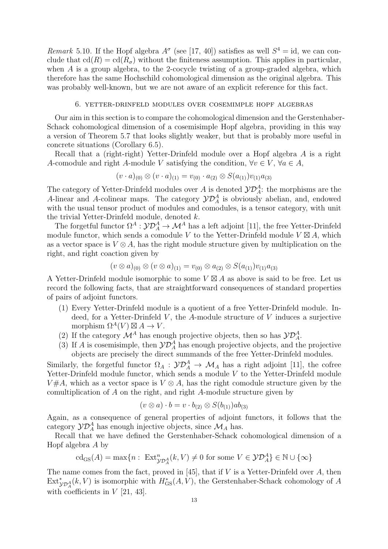*Remark* 5.10. If the Hopf algebra  $A^{\sigma}$  (see [17, 40]) satisfies as well  $S^4 = id$ , we can conclude that  $cd(R) = cd(R<sub>\sigma</sub>)$  without the finiteness assumption. This applies in particular, when  $A$  is a group algebra, to the 2-cocycle twisting of a group-graded algebra, which therefore has the same Hochschild cohomological dimension as the original algebra. This was probably well-known, but we are not aware of an explicit reference for this fact.

### 6. yetter-drinfeld modules over cosemimple hopf algebras

Our aim in this section is to compare the cohomological dimension and the Gerstenhaber-Schack cohomological dimension of a cosemisimple Hopf algebra, providing in this way a version of Theorem 5.7 that looks slightly weaker, but that is probably more useful in concrete situations (Corollary 6.5).

Recall that a (right-right) Yetter-Drinfeld module over a Hopf algebra A is a right A-comodule and right A-module V satisfying the condition,  $\forall v \in V, \forall a \in A$ ,

$$
(v \cdot a)_{(0)} \otimes (v \cdot a)_{(1)} = v_{(0)} \cdot a_{(2)} \otimes S(a_{(1)})v_{(1)}a_{(3)}
$$

The category of Yetter-Drinfeld modules over A is denoted  $\mathcal{YD}^A_A$ : the morphisms are the A-linear and A-colinear maps. The category  $\mathcal{YD}_A^A$  is obviously abelian, and, endowed with the usual tensor product of modules and comodules, is a tensor category, with unit the trivial Yetter-Drinfeld module, denoted k.

The forgetful functor  $\Omega^A : \mathcal{YD}^A_A \to \mathcal{M}^A$  has a left adjoint [11], the free Yetter-Drinfeld module functor, which sends a comodule V to the Yetter-Drinfeld module  $V \boxtimes A$ , which as a vector space is  $V \otimes A$ , has the right module structure given by multiplication on the right, and right coaction given by

$$
(v \otimes a)_{(0)} \otimes (v \otimes a)_{(1)} = v_{(0)} \otimes a_{(2)} \otimes S(a_{(1)})v_{(1)}a_{(3)}
$$

A Yetter-Drinfeld module isomorphic to some  $V \boxtimes A$  as above is said to be free. Let us record the following facts, that are straightforward consequences of standard properties of pairs of adjoint functors.

- (1) Every Yetter-Drinfeld module is a quotient of a free Yetter-Drinfeld module. Indeed, for a Yetter-Drinfeld  $V$ , the A-module structure of  $V$  induces a surjective morphism  $\Omega^{A}(V) \boxtimes A \rightarrow V$ .
- (2) If the category  $\mathcal{M}^A$  has enough projective objects, then so has  $\mathcal{YD}_A^A$ .
- (3) If A is cosemisimple, then  $\mathcal{YD}_A^A$  has enough projective objects, and the projective objects are precisely the direct summands of the free Yetter-Drinfeld modules.

Similarly, the forgetful functor  $\Omega_A : \mathcal{YD}_A^A \to \mathcal{M}_A$  has a right adjoint [11], the cofree Yetter-Drinfeld module functor, which sends a module V to the Yetter-Drinfeld module  $V#A$ , which as a vector space is  $V \otimes A$ , has the right comodule structure given by the comultiplication of A on the right, and right A-module structure given by

$$
(v \otimes a) \cdot b = v \cdot b_{(2)} \otimes S(b_{(1)})ab_{(3)}
$$

Again, as a consequence of general properties of adjoint functors, it follows that the category  $\mathcal{YD}_A^A$  has enough injective objects, since  $\mathcal{M}_A$  has.

Recall that we have defined the Gerstenhaber-Schack cohomological dimension of a Hopf algebra A by

$$
\mathrm{cd}_{\mathrm{GS}}(A) = \max\{n : \ \mathrm{Ext}^n_{\mathcal{Y} \mathcal{D}^A_A}(k, V) \neq 0 \ \mathrm{for \ some} \ V \in \mathcal{Y} \mathcal{D}^A_A\} \in \mathbb{N} \cup \{\infty\}
$$

The name comes from the fact, proved in [45], that if  $V$  is a Yetter-Drinfeld over  $A$ , then  $\mathrm{Ext}^*_{\mathcal{YD}_A^A}(k,V)$  is isomorphic with  $H^*_{\mathrm{GS}}(A,V)$ , the Gerstenhaber-Schack cohomology of A with coefficients in  $V$  [21, 43].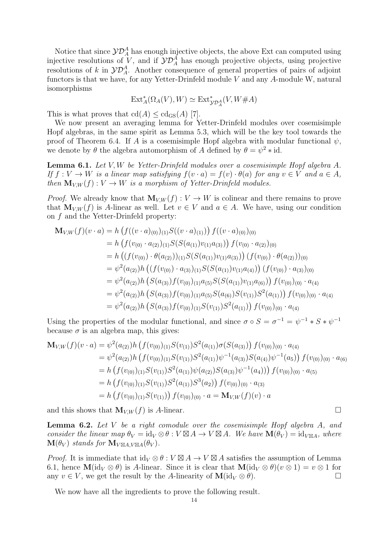Notice that since  $\mathcal{YD}_A^A$  has enough injective objects, the above Ext can computed using injective resolutions of V, and if  $\mathcal{YD}_A^A$  has enough projective objects, using projective resolutions of k in  $\mathcal{YD}_A^A$ . Another consequence of general properties of pairs of adjoint functors is that we have, for any Yetter-Drinfeld module  $V$  and any  $A$ -module W, natural isomorphisms

$$
\mathrm{Ext}^*_A(\Omega_A(V),W)\simeq\mathrm{Ext}^*_{\mathcal{YD}^A_A}(V,W\#A)
$$

This is what proves that  $\text{cd}(A) \leq \text{cd}_{\text{GS}}(A)$  [7].

We now present an averaging lemma for Yetter-Drinfeld modules over cosemisimple Hopf algebras, in the same spirit as Lemma 5.3, which will be the key tool towards the proof of Theorem 6.4. If A is a cosemisimple Hopf algebra with modular functional  $\psi$ , we denote by  $\theta$  the algebra automorphism of A defined by  $\theta = \psi^2 * id$ .

Lemma 6.1. *Let* V, W *be Yetter-Drinfeld modules over a cosemisimple Hopf algebra* A*. If*  $f: V \to W$  *is a linear map satisfying*  $f(v \cdot a) = f(v) \cdot \theta(a)$  *for any*  $v \in V$  *and*  $a \in A$ *, then*  $\mathbf{M}_{V,W}(f) : V \to W$  *is a morphism of Yetter-Drinfeld modules.* 

*Proof.* We already know that  $M_{V,W}(f): V \to W$  is colinear and there remains to prove that  $\mathbf{M}_{V,W}(f)$  is A-linear as well. Let  $v \in V$  and  $a \in A$ . We have, using our condition on f and the Yetter-Drinfeld property:

$$
\mathbf{M}_{V,W}(f)(v \cdot a) = h \left( f((v \cdot a)_{(0)})_{(1)} S((v \cdot a)_{(1)}) \right) f((v \cdot a)_{(0)})_{(0)}
$$
\n
$$
= h \left( f(v_{(0)} \cdot a_{(2)})_{(1)} S(S(a_{(1)}) v_{(1)} a_{(3)}) \right) f(v_{(0)} \cdot a_{(2)})_{(0)}
$$
\n
$$
= h \left( (f(v_{(0)}) \cdot \theta(a_{(2)}))_{(1)} S(S(a_{(1)}) v_{(1)} a_{(3)}) \right) (f(v_{(0)}) \cdot \theta(a_{(2)}))_{(0)}
$$
\n
$$
= \psi^2(a_{(2)}) h \left( (f(v_{(0)}) \cdot a_{(3)})_{(1)} S(S(a_{(1)}) v_{(1)} a_{(4)}) \right) (f(v_{(0)}) \cdot a_{(3)})_{(0)}
$$
\n
$$
= \psi^2(a_{(2)}) h \left( S(a_{(3)}) f(v_{(0)})_{(1)} a_{(5)} S(S(a_{(1)}) v_{(1)} a_{(6)}) \right) f(v_{(0)})_{(0)} \cdot a_{(4)}
$$
\n
$$
= \psi^2(a_{(2)}) h \left( S(a_{(3)}) f(v_{(0)})_{(1)} a_{(5)} S(a_{(6)}) S(v_{(1)}) S^2(a_{(1)}) \right) f(v_{(0)})_{(0)} \cdot a_{(4)}
$$
\n
$$
= \psi^2(a_{(2)}) h \left( S(a_{(3)}) f(v_{(0)})_{(1)} S(v_{(1)}) S^2(a_{(1)}) \right) f(v_{(0)})_{(0)} \cdot a_{(4)}
$$

Using the properties of the modular functional, and since  $\sigma \circ S = \sigma^{-1} = \psi^{-1} * S * \psi^{-1}$ because  $\sigma$  is an algebra map, this gives:

$$
\mathbf{M}_{V,W}(f)(v \cdot a) = \psi^2(a_{(2)})h\left(f(v_{(0)})_{(1)}S(v_{(1)})S^2(a_{(1)})\sigma(S(a_{(3)}))f(v_{(0)})_{(0)} \cdot a_{(4)}\right)
$$
  
\n
$$
= \psi^2(a_{(2)})h\left(f(v_{(0)})_{(1)}S(v_{(1)})S^2(a_{(1)})\psi^{-1}(a_{(3)})S(a_{(4)})\psi^{-1}(a_{5})\right)f(v_{(0)})_{(0)} \cdot a_{(6)}
$$
  
\n
$$
= h\left(f(v_{(0)})_{(1)}S(v_{(1)})S^2(a_{(1)})\psi(a_{(2)})S(a_{(3)})\psi^{-1}(a_{4})\right)f(v_{(0)})_{(0)} \cdot a_{(5)}
$$
  
\n
$$
= h\left(f(v_{(0)})_{(1)}S(v_{(1)})S^2(a_{(1)})S^3(a_{2})\right)f(v_{(0)})_{(0)} \cdot a_{(3)}
$$
  
\n
$$
= h\left(f(v_{(0)})_{(1)}S(v_{(1)})\right)f(v_{(0)})_{(0)} \cdot a = \mathbf{M}_{V,W}(f)(v) \cdot a
$$

and this shows that  $\mathbf{M}_{V,W}(f)$  is A-linear.

Lemma 6.2. *Let* V *be a right comodule over the cosemisimple Hopf algebra* A*, and consider the linear map*  $\theta_V = id_V \otimes \theta : V \boxtimes A \to V \boxtimes A$ *. We have*  $\mathbf{M}(\theta_V) = id_{V \boxtimes A}$ *, where*  $\mathbf{M}(\theta_V)$  *stands for*  $\mathbf{M}_{V\boxtimes A,V\boxtimes A}(\theta_V)$ .

*Proof.* It is immediate that  $\mathrm{id}_V \otimes \theta : V \boxtimes A \to V \boxtimes A$  satisfies the assumption of Lemma 6.1, hence  $\mathbf{M}(\mathrm{id}_V \otimes \theta)$  is A-linear. Since it is clear that  $\mathbf{M}(\mathrm{id}_V \otimes \theta)(v \otimes 1) = v \otimes 1$  for any  $v \in V$ , we get the result by the A-linearity of  $\mathbf{M}(\mathrm{id}_V \otimes \theta)$ . any  $v \in V$ , we get the result by the A-linearity of  $\mathbf{M}(\mathrm{id}_V \otimes \theta)$ .

We now have all the ingredients to prove the following result.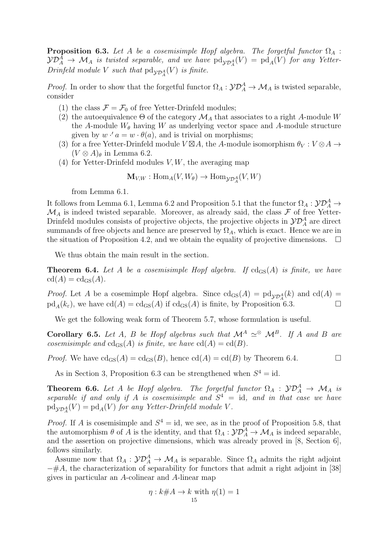**Proposition 6.3.** Let A be a cosemisimple Hopf algebra. The forgetful functor  $\Omega_A$ :  $\mathcal{YD}^A_A \rightarrow \mathcal{M}_A$  is twisted separable, and we have  $\text{pd}_{\mathcal{YD}^A_A}(V) = \text{pd}_A(V)$  for any Yetter- $Drinfeld \ module \ V \ such \ that \ pd_{\mathcal{YD}_A^A}(V) \ is \ finite.$ 

*Proof.* In order to show that the forgetful functor  $\Omega_A : \mathcal{YD}_A^A \to \mathcal{M}_A$  is twisted separable, consider

- (1) the class  $\mathcal{F} = \mathcal{F}_0$  of free Yetter-Drinfeld modules;
- (2) the autoequivalence  $\Theta$  of the category  $\mathcal{M}_A$  that associates to a right A-module W the A-module  $W_{\theta}$  having W as underlying vector space and A-module structure given by  $w' a = w \cdot \theta(a)$ , and is trivial on morphisms;
- (3) for a free Yetter-Drinfeld module  $V \boxtimes A$ , the A-module isomorphism  $\theta_V : V \otimes A \to$  $(V \otimes A)_{\theta}$  in Lemma 6.2.
- (4) for Yetter-Drinfeld modules  $V, W$ , the averaging map

$$
\mathbf{M}_{V,W} : \text{Hom}_A(V, W_\theta) \to \text{Hom}_{\mathcal{YD}_A^A}(V, W)
$$

from Lemma 6.1.

It follows from Lemma 6.1, Lemma 6.2 and Proposition 5.1 that the functor  $\Omega_A : \mathcal{YD}^A_A \to$  $\mathcal{M}_A$  is indeed twisted separable. Moreover, as already said, the class  $\mathcal F$  of free Yetter-Drinfeld modules consists of projective objects, the projective objects in  $\mathcal{YD}_A^A$  are direct summands of free objects and hence are preserved by  $\Omega_A$ , which is exact. Hence we are in the situation of Proposition 4.2, and we obtain the equality of projective dimensions.  $\Box$ 

We thus obtain the main result in the section.

**Theorem 6.4.** Let A be a cosemisimple Hopf algebra. If  $cd_{\text{GS}}(A)$  is finite, we have  $cd(A) = cd_{GS}(A)$ .

*Proof.* Let A be a cosemimple Hopf algebra. Since  $cd_{GS}(A) = pd_{\mathcal{YD}^A_A}(k)$  and  $cd(A) =$  $\text{pd}_A(k_{\varepsilon})$ , we have  $\text{cd}(A) = \text{cd}_{\text{GS}}(A)$  if  $\text{cd}_{\text{GS}}(A)$  is finite, by Proposition 6.3.

We get the following weak form of Theorem 5.7, whose formulation is useful.

Corollary 6.5. *Let* A, B *be Hopf algebras such that*  $\mathcal{M}^A \simeq \mathcal{M}^B$ . If A and B are *cosemisimple and*  $cd_{GS}(A)$  *is finite, we have*  $cd(A) = cd(B)$ *.* 

*Proof.* We have  $cd_{GS}(A) = cd_{GS}(B)$ , hence  $cd(A) = cd(B)$  by Theorem 6.4.

As in Section 3, Proposition 6.3 can be strengthened when  $S^4 = id$ .

**Theorem 6.6.** Let A be Hopf algebra. The forgetful functor  $\Omega_A : \mathcal{YD}_A^A \to \mathcal{M}_A$  is separable if and only if A is cosemisimple and  $S<sup>4</sup> = id$ , and in that case we have  $\text{pd}_{\mathcal{YD}_A^A}(V) = \text{pd}_A(V)$  for any Yetter-Drinfeld module V.

*Proof.* If A is cosemisimple and  $S^4 = id$ , we see, as in the proof of Proposition 5.8, that the automorphism  $\theta$  of A is the identity, and that  $\Omega_A: {\cal YD}_A^A \to {\cal M}_A$  is indeed separable, and the assertion on projective dimensions, which was already proved in [8, Section 6], follows similarly.

Assume now that  $\Omega_A : \mathcal{YD}_A^A \to \mathcal{M}_A$  is separable. Since  $\Omega_A$  admits the right adjoint −#A, the characterization of separability for functors that admit a right adjoint in [38] gives in particular an A-colinear and A-linear map

$$
\eta: k\#A \to k \text{ with } \eta(1) = 1
$$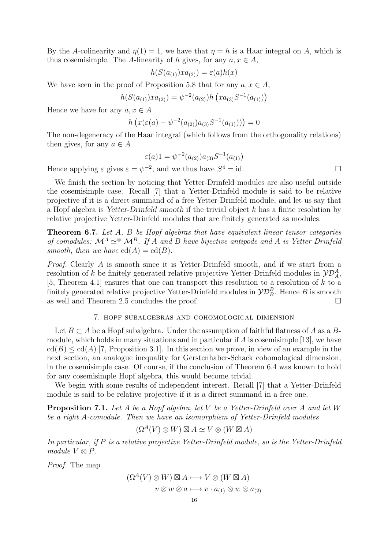By the A-colinearity and  $\eta(1) = 1$ , we have that  $\eta = h$  is a Haar integral on A, which is thus cosemisimple. The A-linearity of h gives, for any  $a, x \in A$ ,

$$
h(S(a_{(1)})xa_{(2)})=\varepsilon(a)h(x)
$$

We have seen in the proof of Proposition 5.8 that for any  $a, x \in A$ ,

$$
h(S(a_{(1)})xa_{(2)}) = \psi^{-2}(a_{(2)})h\left(xa_{(3)}S^{-1}(a_{(1)})\right)
$$

Hence we have for any  $a, x \in A$ 

$$
h\left(x(\varepsilon(a) - \psi^{-2}(a_{(2)})a_{(3)}S^{-1}(a_{(1)}))\right) = 0
$$

The non-degeneracy of the Haar integral (which follows from the orthogonality relations) then gives, for any  $a \in A$ 

$$
\varepsilon(a)1 = \psi^{-2}(a_{(2)})a_{(3)}S^{-1}(a_{(1)})
$$

Hence applying  $\varepsilon$  gives  $\varepsilon = \psi^{-2}$ , and we thus have  $S^4 = id$ .

We finish the section by noticing that Yetter-Drinfeld modules are also useful outside the cosemisimple case. Recall [7] that a Yetter-Drinfeld module is said to be relative projective if it is a direct summand of a free Yetter-Drinfeld module, and let us say that a Hopf algebra is Yetter-Drinfeld smooth if the trivial object k has a finite resolution by relative projective Yetter-Drinfeld modules that are finitely generated as modules.

Theorem 6.7. *Let* A*,* B *be Hopf algebras that have equivalent linear tensor categories of comodules:*  $\mathcal{M}^A \simeq \mathcal{M}^B$ . If A and B have bijective antipode and A is Yetter-Drinfeld *smooth, then we have*  $cd(A) = cd(B)$ *.* 

*Proof.* Clearly A is smooth since it is Yetter-Drinfeld smooth, and if we start from a resolution of k be finitely generated relative projective Yetter-Drinfeld modules in  $\mathcal{YD}_A^A$ , [5, Theorem 4.1] ensures that one can transport this resolution to a resolution of  $k$  to a finitely generated relative projective Yetter-Drinfeld modules in  $\mathcal{YD}_B^B$ . Hence B is smooth as well and Theorem 2.5 concludes the proof.

## 7. hopf subalgebras and cohomological dimension

Let  $B \subset A$  be a Hopf subalgebra. Under the assumption of faithful flatness of A as a Bmodule, which holds in many situations and in particular if  $A$  is cosemisimple [13], we have  $\text{cd}(B) \leq \text{cd}(A)$  [7, Proposition 3.1]. In this section we prove, in view of an example in the next section, an analogue inequality for Gerstenhaber-Schack cohomological dimension, in the cosemisimple case. Of course, if the conclusion of Theorem 6.4 was known to hold for any cosemisimple Hopf algebra, this would become trivial.

We begin with some results of independent interest. Recall [7] that a Yetter-Drinfeld module is said to be relative projective if it is a direct summand in a free one.

Proposition 7.1. *Let* A *be a Hopf algebra, let* V *be a Yetter-Drinfeld over* A *and let* W *be a right* A*-comodule. Then we have an isomorphism of Yetter-Drinfeld modules*

$$
(\Omega^A(V)\otimes W)\boxtimes A\simeq V\otimes (W\boxtimes A)
$$

*In particular, if* P *is a relative projective Yetter-Drinfeld module, so is the Yetter-Drinfeld module*  $V \otimes P$ *.* 

*Proof.* The map

$$
(\Omega^{A}(V) \otimes W) \boxtimes A \longmapsto V \otimes (W \boxtimes A)
$$
  

$$
v \otimes w \otimes a \longmapsto v \cdot a_{(1)} \otimes w \otimes a_{(2)}
$$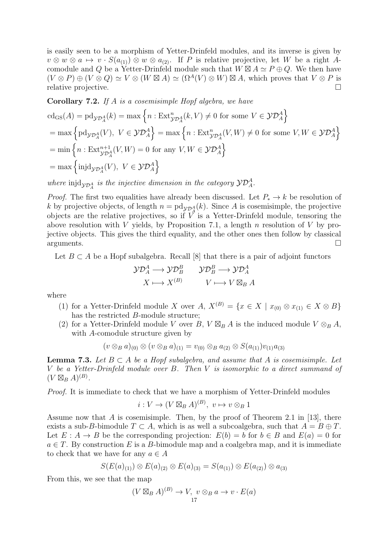is easily seen to be a morphism of Yetter-Drinfeld modules, and its inverse is given by  $v \otimes w \otimes a \mapsto v \cdot S(a_{(1)}) \otimes w \otimes a_{(2)}$ . If P is relative projective, let W be a right Acomodule and Q be a Yetter-Drinfeld module such that  $W \boxtimes A \simeq P \oplus Q$ . We then have  $(V \otimes P) \oplus (V \otimes Q) \simeq V \otimes (W \boxtimes A) \simeq (\Omega^A(V) \otimes W) \boxtimes A$ , which proves that  $V \otimes P$  is relative projective. relative projective.

Corollary 7.2. *If* A *is a cosemisimple Hopf algebra, we have*

$$
cd_{GS}(A) = pd_{\mathcal{YD}_{A}^{A}}(k) = max \left\{ n : Ext_{\mathcal{YD}_{A}^{A}}^{n}(k, V) \neq 0 \text{ for some } V \in \mathcal{YD}_{A}^{A} \right\}
$$
  
= max  $\left\{ pd_{\mathcal{YD}_{A}^{A}}(V), V \in \mathcal{YD}_{A}^{A} \right\}$  = max  $\left\{ n : Ext_{\mathcal{YD}_{A}^{A}}^{n}(V, W) \neq 0 \text{ for some } V, W \in \mathcal{YD}_{A}^{A} \right\}$   
= min  $\left\{ n : Ext_{\mathcal{YD}_{A}^{A}}^{n+1}(V, W) = 0 \text{ for any } V, W \in \mathcal{YD}_{A}^{A} \right\}$   
= max  $\left\{ injd_{\mathcal{YD}_{A}^{A}}(V), V \in \mathcal{YD}_{A}^{A} \right\}$ 

where  $\text{injdy}_{\mathcal{D}_A^A}$  is the injective dimension in the category  $\mathcal{YD}_A^A$ .

*Proof.* The first two equalities have already been discussed. Let  $P_* \to k$  be resolution of k by projective objects, of length  $n = \text{pd}_{\mathcal{YD}_A^A}(k)$ . Since A is cosemisimple, the projective objects are the relative projectives, so if  $V$  is a Yetter-Drinfeld module, tensoring the above resolution with V yields, by Proposition 7.1, a length n resolution of V by projective objects. This gives the third equality, and the other ones then follow by classical  $a$ rguments.  $\Box$ 

Let  $B \subset A$  be a Hopf subalgebra. Recall [8] that there is a pair of adjoint functors

$$
\mathcal{YD}^A_A \longrightarrow \mathcal{YD}^B_B \qquad \mathcal{YD}^B_B \longrightarrow \mathcal{YD}^A_A
$$

$$
X \longmapsto X^{(B)} \qquad V \longmapsto V \boxtimes_B A
$$

where

- (1) for a Yetter-Drinfeld module X over A,  $X^{(B)} = \{x \in X \mid x_{(0)} \otimes x_{(1)} \in X \otimes B\}$ has the restricted B-module structure;
- (2) for a Yetter-Drinfeld module V over B,  $V \boxtimes_B A$  is the induced module  $V \otimes_B A$ , with A-comodule structure given by

$$
(v \otimes_B a)_{(0)} \otimes (v \otimes_B a)_{(1)} = v_{(0)} \otimes_B a_{(2)} \otimes S(a_{(1)})v_{(1)}a_{(3)}
$$

**Lemma 7.3.** Let  $B \subset A$  be a Hopf subalgebra, and assume that A is cosemisimple. Let V *be a Yetter-Drinfeld module over* B*. Then* V *is isomorphic to a direct summand of*  $(V \boxtimes_B A)^{(B)}$ .

*Proof.* It is immediate to check that we have a morphism of Yetter-Drinfeld modules

$$
i: V \to (V \boxtimes_B A)^{(B)}, \ v \mapsto v \otimes_B 1
$$

Assume now that  $A$  is cosemisimple. Then, by the proof of Theorem 2.1 in [13], there exists a sub-B-bimodule  $T \subset A$ , which is as well a subcoalgebra, such that  $A = B \oplus T$ . Let  $E : A \to B$  be the corresponding projection:  $E(b) = b$  for  $b \in B$  and  $E(a) = 0$  for  $a \in T$ . By construction E is a B-bimodule map and a coalgebra map, and it is immediate to check that we have for any  $a \in A$ 

$$
S(E(a)_{(1)}) \otimes E(a)_{(2)} \otimes E(a)_{(3)} = S(a_{(1)}) \otimes E(a_{(2)}) \otimes a_{(3)}
$$

From this, we see that the map

$$
(V \boxtimes_B A)^{(B)} \to V, \ v \otimes_B a \to v \cdot E(a)
$$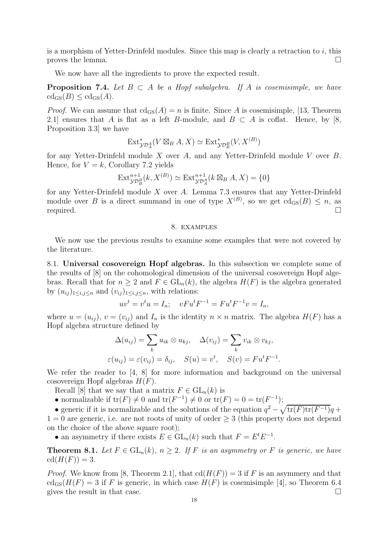is a morphism of Yetter-Drinfeld modules. Since this map is clearly a retraction to i, this proves the lemma.  $\Box$ 

We now have all the ingredients to prove the expected result.

**Proposition 7.4.** Let  $B \subset A$  be a Hopf subalgebra. If A is cosemisimple, we have  $cd_{GS}(B) \leq cd_{GS}(A)$ .

*Proof.* We can assume that  $cd_{GS}(A) = n$  is finite. Since A is cosemisimple, [13, Theorem 2.1] ensures that A is flat as a left B-module, and  $B \subset A$  is coflat. Hence, by [8, Proposition 3.3] we have

$$
\text{Ext}^*_{\mathcal{YD}_A^A}(V \boxtimes_B A, X) \simeq \text{Ext}^*_{\mathcal{YD}_B^B}(V, X^{(B)})
$$

for any Yetter-Drinfeld module X over A, and any Yetter-Drinfeld module V over B. Hence, for  $V = k$ , Corollary 7.2 yields

$$
\operatorname{Ext}^{n+1}_{\mathcal{YD}_B^B}(k, X^{(B)}) \simeq \operatorname{Ext}^{n+1}_{\mathcal{YD}_A^A}(k \boxtimes_B A, X) = \{0\}
$$

for any Yetter-Drinfeld module X over A. Lemma 7.3 ensures that any Yetter-Drinfeld module over B is a direct summand in one of type  $X^{(B)}$ , so we get  $\text{cd}_{\text{GS}}(B) \leq n$ , as  $\Box$  required.

#### 8. examples

We now use the previous results to examine some examples that were not covered by the literature.

8.1. Universal cosovereign Hopf algebras. In this subsection we complete some of the results of [8] on the cohomological dimension of the universal cosovereign Hopf algebras. Recall that for  $n > 2$  and  $F \in GL_n(k)$ , the algebra  $H(F)$  is the algebra generated by  $(u_{ij})_{1\leq i,j\leq n}$  and  $(v_{ij})_{1\leq i,j\leq n}$ , with relations:

$$
uv^{t} = v^{t}u = I_{n}; \quad vFu^{t}F^{-1} = Fu^{t}F^{-1}v = I_{n},
$$

where  $u = (u_{ij}), v = (v_{ij})$  and  $I_n$  is the identity  $n \times n$  matrix. The algebra  $H(F)$  has a Hopf algebra structure defined by

$$
\Delta(u_{ij}) = \sum_{k} u_{ik} \otimes u_{kj}, \quad \Delta(v_{ij}) = \sum_{k} v_{ik} \otimes v_{kj},
$$
  

$$
\varepsilon(u_{ij}) = \varepsilon(v_{ij}) = \delta_{ij}, \quad S(u) = v^{t}, \quad S(v) = F u^{t} F^{-1}.
$$

We refer the reader to  $\begin{bmatrix} 4, 8 \end{bmatrix}$  for more information and background on the universal cosovereign Hopf algebras  $H(F)$ .

Recall [8] that we say that a matrix  $F \in GL_n(k)$  is

- normalizable if  $\text{tr}(F) \neq 0$  and  $\text{tr}(F^{-1}) \neq 0$  or  $\text{tr}(F) = 0 = \text{tr}(F^{-1});$
- generic if it is normalizable and the solutions of the equation  $q^2 \sqrt{\text{tr}(F)\text{tr}(F^{-1})}q +$

 $1 = 0$  are generic, i.e. are not roots of unity of order  $\geq 3$  (this property does not depend on the choice of the above square root);

• an asymmetry if there exists  $E \in GL_n(k)$  such that  $F = E^t E^{-1}$ .

**Theorem 8.1.** Let  $F \in GL_n(k)$ ,  $n \geq 2$ . If F is an asymmetry or F is generic, we have  $cd(H(F)) = 3.$ 

*Proof.* We know from [8, Theorem 2.1], that  $cd(H(F)) = 3$  if F is an asymmery and that  $\operatorname{cd}_{\rm GS}(H(F) = 3$  if F is generic, in which case  $H(F)$  is cosemisimple [4], so Theorem 6.4 gives the result in that case.  $\Box$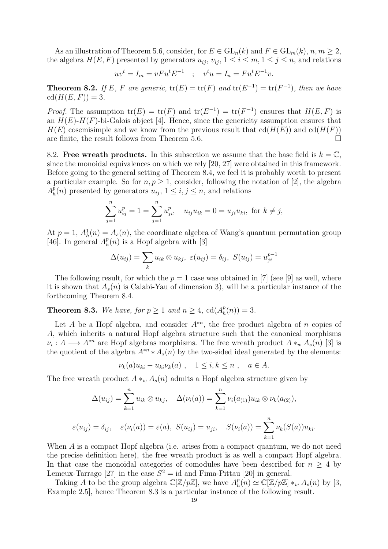As an illustration of Theorem 5.6, consider, for  $E \in GL_n(k)$  and  $F \in GL_m(k)$ ,  $n, m \geq 2$ , the algebra  $H(E, F)$  presented by generators  $u_{ij}$ ,  $v_{ij}$ ,  $1 \leq i \leq m, 1 \leq j \leq n$ , and relations

$$
uv^t = I_m = vFu^tE^{-1}
$$
;  $v^tu = I_n = Fu^tE^{-1}v$ .

**Theorem 8.2.** If E, F are generic,  $tr(E) = tr(F)$  and  $tr(E^{-1}) = tr(F^{-1})$ , then we have  $cd(H(E, F)) = 3.$ 

*Proof.* The assumption  $tr(E) = tr(F)$  and  $tr(E^{-1}) = tr(F^{-1})$  ensures that  $H(E, F)$  is an  $H(E)$ -H(F)-bi-Galois object [4]. Hence, since the genericity assumption ensures that  $H(E)$  cosemisimple and we know from the previous result that  $\text{cd}(H(E))$  and  $\text{cd}(H(F))$ are finite, the result follows from Theorem 5.6.  $\Box$ 

8.2. Free wreath products. In this subsection we assume that the base field is  $k = \mathbb{C}$ , since the monoidal equivalences on which we rely [20, 27] were obtained in this framework. Before going to the general setting of Theorem 8.4, we feel it is probably worth to present a particular example. So for  $n, p \geq 1$ , consider, following the notation of [2], the algebra  $A_h^{\bar p}$  $_{h}^{p}(n)$  presented by generators  $u_{ij}$ ,  $1 \leq i, j \leq n$ , and relations

$$
\sum_{j=1}^{n} u_{ij}^{p} = 1 = \sum_{j=1}^{n} u_{ji}^{p}, \quad u_{ij} u_{ik} = 0 = u_{ji} u_{ki}, \text{ for } k \neq j,
$$

At  $p = 1$ ,  $A_h^1(n) = A_s(n)$ , the coordinate algebra of Wang's quantum permutation group [46]. In general  $A_h^p$  $\binom{p}{h}(n)$  is a Hopf algebra with [3]

$$
\Delta(u_{ij}) = \sum_k u_{ik} \otimes u_{kj}, \ \varepsilon(u_{ij}) = \delta_{ij}, \ S(u_{ij}) = u_{ji}^{p-1}
$$

The following result, for which the  $p = 1$  case was obtained in [7] (see [9] as well, where it is shown that  $A_s(n)$  is Calabi-Yau of dimension 3), will be a particular instance of the forthcoming Theorem 8.4.

**Theorem 8.3.** We have, for  $p \ge 1$  and  $n \ge 4$ ,  $\text{cd}(A_h^p)$  $_{h}^{p}(n))=3.$ 

Let A be a Hopf algebra, and consider  $A^{*n}$ , the free product algebra of n copies of A, which inherits a natural Hopf algebra structure such that the canonical morphisms  $\nu_i: A \longrightarrow A^{*n}$  are Hopf algebras morphisms. The free wreath product  $A *_{w} A_s(n)$  [3] is the quotient of the algebra  $A^{*n} * A_s(n)$  by the two-sided ideal generated by the elements:

 $\nu_k(a)u_{ki} - u_{ki}\nu_k(a)$ ,  $1 \le i, k \le n$ ,  $a \in A$ .

The free wreath product  $A *_{w} A_{s}(n)$  admits a Hopf algebra structure given by

$$
\Delta(u_{ij}) = \sum_{k=1}^{n} u_{ik} \otimes u_{kj}, \quad \Delta(\nu_i(a)) = \sum_{k=1}^{n} \nu_i(a_{(1)}) u_{ik} \otimes \nu_k(a_{(2)}),
$$
  

$$
\varepsilon(u_{ij}) = \delta_{ij}, \quad \varepsilon(\nu_i(a)) = \varepsilon(a), \ S(u_{ij}) = u_{ji}, \quad S(\nu_i(a)) = \sum_{k=1}^{n} \nu_k(S(a))u_{ki}.
$$

When A is a compact Hopf algebra (i.e. arises from a compact quantum, we do not need the precise definition here), the free wreath product is as well a compact Hopf algebra. In that case the monoidal categories of comodules have been described for  $n \geq 4$  by Lemeux-Tarrago [27] in the case  $S^2 = id$  and Fima-Pittau [20] in general.

Taking A to be the group algebra  $\mathbb{C}[\mathbb{Z}/p\mathbb{Z}]$ , we have  $A_h^p$  $_{h}^{p}(n) \simeq \mathbb{C}[\mathbb{Z}/p\mathbb{Z}]*_{w} A_{s}(n)$  by [3, Example 2.5], hence Theorem 8.3 is a particular instance of the following result.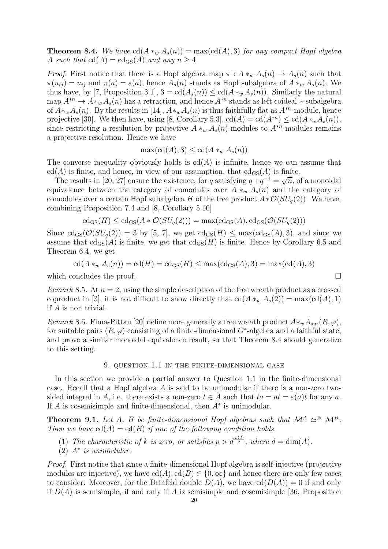**Theorem 8.4.** *We have*  $cd(A *_{w} A_{s}(n)) = max(cd(A), 3)$  *for any compact Hopf algebra* A such that  $cd(A) = cd_{GS}(A)$  and any  $n \geq 4$ .

*Proof.* First notice that there is a Hopf algebra map  $\pi : A *_{w} A_{s}(n) \to A_{s}(n)$  such that  $\pi(u_{ij}) = u_{ij}$  and  $\pi(a) = \varepsilon(a)$ , hence  $A_s(n)$  stands as Hopf subalgebra of  $A *_{w} A_s(n)$ . We thus have, by [7, Proposition 3.1],  $3 = \text{cd}(A_s(n)) \leq \text{cd}(A *_{w} A_s(n))$ . Similarly the natural map  $A^{*n} \to A *_{w} A_s(n)$  has a retraction, and hence  $A^{*n}$  stands as left coideal  $*$ -subalgebra of  $A *_w A_s(n)$ . By the results in [14],  $A *_w A_s(n)$  is thus faithfully flat as  $A^{*n}$ -module, hence projective [30]. We then have, using [8, Corollary 5.3],  $cd(A) = cd(A^{*n}) \leq cd(A^{*w} A_s(n)),$ since restricting a resolution by projective  $A *_w A_s(n)$ -modules to  $A^{*n}$ -modules remains a projective resolution. Hence we have

$$
\max(\mathrm{cd}(A),3)\leq\mathrm{cd}(A\ast_w A_s(n))
$$

The converse inequality obviously holds is  $cd(A)$  is infinite, hence we can assume that  $cd(A)$  is finite, and hence, in view of our assumption, that  $cd_{\text{GS}}(A)$  is finite.

The results in [20, 27] ensure the existence, for q satisfying  $q+q^{-1}=\sqrt{n}$ , of a monoidal equivalence between the category of comodules over  $A *_{w} A_{s}(n)$  and the category of comodules over a certain Hopf subalgebra H of the free product  $A * \mathcal{O}(SU_q(2))$ . We have, combining Proposition 7.4 and [8, Corollary 5.10]

$$
\mathrm{cd}_{\mathrm{GS}}(H) \leq \mathrm{cd}_{\mathrm{GS}}(A \ast \mathcal{O}(SU_q(2))) = \max(\mathrm{cd}_{\mathrm{GS}}(A), \mathrm{cd}_{\mathrm{GS}}(\mathcal{O}(SU_q(2)))
$$

Since  $\text{cd}_{\text{GS}}(\mathcal{O}(SU_a(2)) = 3$  by [5, 7], we get  $\text{cd}_{\text{GS}}(H) \leq \max(\text{cd}_{\text{GS}}(A), 3)$ , and since we assume that  $cd_{GS}(A)$  is finite, we get that  $cd_{GS}(H)$  is finite. Hence by Corollary 6.5 and Theorem 6.4, we get

$$
\operatorname{cd}(A *_{w} A_{s}(n)) = \operatorname{cd}(H) = \operatorname{cd}_{\operatorname{GS}}(H) \le \max(\operatorname{cd}_{\operatorname{GS}}(A), 3) = \max(\operatorname{cd}(A), 3)
$$

which concludes the proof.  $\Box$ 

*Remark* 8.5. At  $n = 2$ , using the simple description of the free wreath product as a crossed coproduct in [3], it is not difficult to show directly that  $\text{cd}(A *_{w} A_{s}(2)) = \max(\text{cd}(A), 1)$ if A is non trivial.

*Remark* 8.6. Fima-Pittau [20] define more generally a free wreath product  $A*_w A_{\text{aut}}(R, \varphi)$ , for suitable pairs  $(R, \varphi)$  consisting of a finite-dimensional C<sup>\*</sup>-algebra and a faithful state, and prove a similar monoidal equivalence result, so that Theorem 8.4 should generalize to this setting.

## 9. question 1.1 in the finite-dimensional case

In this section we provide a partial answer to Question 1.1 in the finite-dimensional case. Recall that a Hopf algebra A is said to be unimodular if there is a non-zero twosided integral in A, i.e. there exists a non-zero  $t \in A$  such that  $ta = at = \varepsilon(a)t$  for any a. If  $A$  is cosemisimple and finite-dimensional, then  $A^*$  is unimodular.

**Theorem 9.1.** *Let* A, B *be finite-dimensional Hopf algebras such that*  $\mathcal{M}^A \simeq \mathcal{M}^B$ . *Then we have*  $cd(A) = cd(B)$  *if one of the following condition holds.* 

- (1) The characteristic of k is zero, or satisfies  $p > d^{\frac{\varphi(d)}{2}}$ , where  $d = \dim(A)$ .
- (2) A ∗ *is unimodular.*

*Proof.* First notice that since a finite-dimensional Hopf algebra is self-injective (projective modules are injective), we have  $cd(A), cd(B) \in \{0, \infty\}$  and hence there are only few cases to consider. Moreover, for the Drinfeld double  $D(A)$ , we have  $\text{cd}(D(A)) = 0$  if and only if  $D(A)$  is semisimple, if and only if A is semisimple and cosemisimple [36, Proposition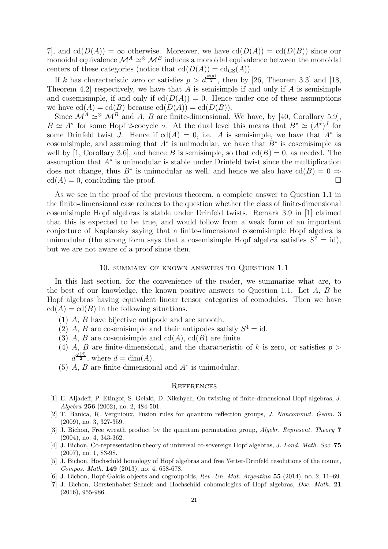7, and  $cd(D(A)) = \infty$  otherwise. Moreover, we have  $cd(D(A)) = cd(D(B))$  since our monoidal equivalence  $\mathcal{M}^A \simeq \mathcal{M}^B$  induces a monoidal equivalence between the monoidal centers of these categories (notice that  $\text{cd}(D(A)) = \text{cd}_{\text{GS}}(A)$ ).

If k has characteristic zero or satisfies  $p > d^{\frac{\varphi(d)}{2}}$ , then by [26, Theorem 3.3] and [18, Theorem 4.2 respectively, we have that A is semisimple if and only if A is semisimple and cosemisimple, if and only if  $cd(D(A)) = 0$ . Hence under one of these assumptions we have  $cd(A) = cd(B)$  because  $cd(D(A)) = cd(D(B)).$ 

Since  $\mathcal{M}^A \simeq \mathcal{M}^B$  and A, B are finite-dimensional, We have, by [40, Corollary 5.9],  $B \simeq A^{\sigma}$  for some Hopf 2-cocycle  $\sigma$ . At the dual level this means that  $B^* \simeq (A^*)^J$  for some Drinfeld twist J. Hence if  $cd(A) = 0$ , i.e. A is semisimple, we have that  $A^*$  is cosemisimple, and assuming that  $A^*$  is unimodular, we have that  $B^*$  is cosemisimple as well by [1, Corollary 3.6], and hence B is semisimple, so that  $cd(B) = 0$ , as needed. The assumption that A<sup>∗</sup> is unimodular is stable under Drinfeld twist since the multiplication does not change, thus  $B^*$  is unimodular as well, and hence we also have  $\text{cd}(B) = 0 \Rightarrow$  $cd(A) = 0$ , concluding the proof.

As we see in the proof of the previous theorem, a complete answer to Question 1.1 in the finite-dimensional case reduces to the question whether the class of finite-dimensional cosemisimple Hopf algebras is stable under Drinfeld twists. Remark 3.9 in [1] claimed that this is expected to be true, and would follow from a weak form of an important conjecture of Kaplansky saying that a finite-dimensional cosemisimple Hopf algebra is unimodular (the strong form says that a cosemisimple Hopf algebra satisfies  $S^2 = id$ ), but we are not aware of a proof since then.

# 10. summary of known answers to Question 1.1

In this last section, for the convenience of the reader, we summarize what are, to the best of our knowledge, the known positive answers to Question 1.1. Let A, B be Hopf algebras having equivalent linear tensor categories of comodules. Then we have  $cd(A) = cd(B)$  in the following situations.

- (1) A, B have bijective antipode and are smooth.
- (2) A, B are cosemisimple and their antipodes satisfy  $S^4 = id$ .
- (3) A, B are cosemisimple and  $cd(A)$ ,  $cd(B)$  are finite.
- (4) A, B are finite-dimensional, and the characteristic of k is zero, or satisfies  $p >$  $d^{\frac{\varphi(d)}{2}}$ , where  $d = \dim(A)$ .
- (5)  $A, B$  are finite-dimensional and  $A^*$  is unimodular.

#### **REFERENCES**

- [1] E. Aljadeff, P. Etingof, S. Gelaki, D. Nikshych, On twisting of finite-dimensional Hopf algebras, J. Algebra 256 (2002), no. 2, 484-501.
- [2] T. Banica, R. Vergnioux, Fusion rules for quantum reflection groups, J. Noncommut. Geom. 3 (2009), no. 3, 327-359.
- [3] J. Bichon, Free wreath product by the quantum permutation group, *Algebr. Represent. Theory* 7 (2004), no. 4, 343-362.
- [4] J. Bichon, Co-representation theory of universal co-sovereign Hopf algebras, J. Lond. Math. Soc. 75 (2007), no. 1, 83-98.
- [5] J. Bichon, Hochschild homology of Hopf algebras and free Yetter-Drinfeld resolutions of the counit, Compos. Math. 149 (2013), no. 4, 658-678.
- [6] J. Bichon, Hopf-Galois objects and cogroupoids, Rev. Un. Mat. Argentina 55 (2014), no. 2, 11–69.
- [7] J. Bichon, Gerstenhaber-Schack and Hochschild cohomologies of Hopf algebras, Doc. Math. 21 (2016), 955-986.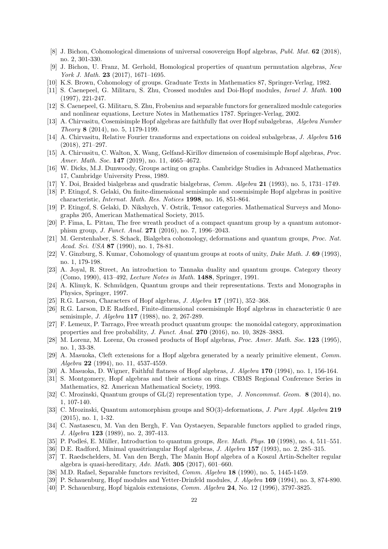- [8] J. Bichon, Cohomological dimensions of universal cosovereign Hopf algebras, Publ. Mat. 62 (2018), no. 2, 301-330.
- [9] J. Bichon, U. Franz, M. Gerhold, Homological properties of quantum permutation algebras, New York J. Math. **23** (2017), 1671-1695.
- [10] K.S. Brown, Cohomology of groups. Graduate Texts in Mathematics 87, Springer-Verlag, 1982.
- [11] S. Caenepeel, G. Militaru, S. Zhu, Crossed modules and Doi-Hopf modules, Israel J. Math. 100 (1997), 221-247.
- [12] S. Caenepeel, G. Militaru, S. Zhu, Frobenius and separable functors for generalized module categories and nonlinear equations, Lecture Notes in Mathematics 1787. Springer-Verlag, 2002.
- [13] A. Chirvasitu, Cosemisimple Hopf algebras are faithfully flat over Hopf subalgebras, Algebra Number Theory 8 (2014), no. 5, 1179-1199.
- [14] A. Chirvasitu, Relative Fourier transforms and expectations on coideal subalgebras, J. Algebra 516 (2018), 271–297.
- [15] A. Chirvasitu, C. Walton, X. Wang, Gelfand-Kirillov dimension of cosemisimple Hopf algebras, Proc. Amer. Math. Soc. 147 (2019), no. 11, 4665-4672.
- [16] W. Dicks, M.J. Dunwoody, Groups acting on graphs. Cambridge Studies in Advanced Mathematics 17, Cambridge University Press, 1989.
- [17] Y. Doi, Braided bialgebras and quadratic bialgebras, Comm. Algebra 21 (1993), no. 5, 1731–1749.
- [18] P. Etingof, S. Gelaki, On finite-dimensional semisimple and cosemisimple Hopf algebras in positive characteristic, Internat. Math. Res. Notices 1998, no. 16, 851-864.
- [19] P. Etingof, S. Gelaki, D. Nikshych, V. Ostrik, Tensor categories. Mathematical Surveys and Monographs 205, American Mathematical Society, 2015.
- [20] P. Fima, L. Pittau, The free wreath product of a compact quantum group by a quantum automorphism group, J. Funct. Anal. 271 (2016), no. 7, 1996–2043.
- [21] M. Gerstenhaber, S. Schack, Bialgebra cohomology, deformations and quantum groups, Proc. Nat. Acad. Sci. USA 87 (1990), no. 1, 78-81.
- [22] V. Ginzburg, S. Kumar, Cohomology of quantum groups at roots of unity, Duke Math. J. 69 (1993), no. 1, 179-198.
- [23] A. Joyal, R. Street, An introduction to Tannaka duality and quantum groups. Category theory (Como, 1990), 413–492, *Lecture Notes in Math.* **1488**, Springer, 1991.
- [24] A. Klimyk, K. Schmüdgen, Quantum groups and their representations. Texts and Monographs in Physics, Springer, 1997.
- [25] R.G. Larson, Characters of Hopf algebras, J. Algebra 17 (1971), 352–368.
- [26] R.G. Larson, D.E Radford, Finite-dimensional cosemisimple Hopf algebras in characteristic 0 are semisimple, J. Algebra 117 (1988), no. 2, 267-289.
- [27] F. Lemeux, P. Tarrago, Free wreath product quantum groups: the monoidal category, approximation properties and free probability, J. Funct. Anal. 270 (2016), no. 10, 3828–3883.
- [28] M. Lorenz, M. Lorenz, On crossed products of Hopf algebras, Proc. Amer. Math. Soc. 123 (1995), no. 1, 33-38.
- [29] A. Masuoka, Cleft extensions for a Hopf algebra generated by a nearly primitive element, Comm. Algebra 22 (1994), no. 11, 4537-4559.
- [30] A. Masuoka, D. Wigner, Faithful flatness of Hopf algebras, J. Algebra 170 (1994), no. 1, 156-164.
- [31] S. Montgomery, Hopf algebras and their actions on rings. CBMS Regional Conference Series in Mathematics, 82. American Mathematical Society, 1993.
- [32] C. Mrozinski, Quantum groups of GL(2) representation type, J. Noncommut. Geom. 8 (2014), no. 1, 107-140.
- [33] C. Mrozinski, Quantum automorphism groups and SO(3)-deformations, *J. Pure Appl. Algebra* 219 (2015), no. 1, 1-32.
- [34] C. Nastasescu, M. Van den Bergh, F. Van Oystaeyen, Separable functors applied to graded rings, J. Algebra 123 (1989), no. 2, 397-413.
- [35] P. Podles, E. Müller, Introduction to quantum groups, Rev. Math. Phys. 10 (1998), no. 4, 511–551.
- [36] D.E. Radford, Minimal quasitriangular Hopf algebras, J. Algebra 157 (1993), no. 2, 285–315.
- [37] T. Raedschelders, M. Van den Bergh, The Manin Hopf algebra of a Koszul Artin-Schelter regular algebra is quasi-hereditary,  $Adv. Math. 305 (2017), 601–660.$
- [38] M.D. Rafael, Separable functors revisited, *Comm. Algebra* 18 (1990), no. 5, 1445-1459.
- [39] P. Schauenburg, Hopf modules and Yetter-Drinfeld modules, J. Algebra 169 (1994), no. 3, 874-890.
- [40] P. Schauenburg, Hopf bigalois extensions, Comm. Algebra 24, No. 12 (1996), 3797-3825.